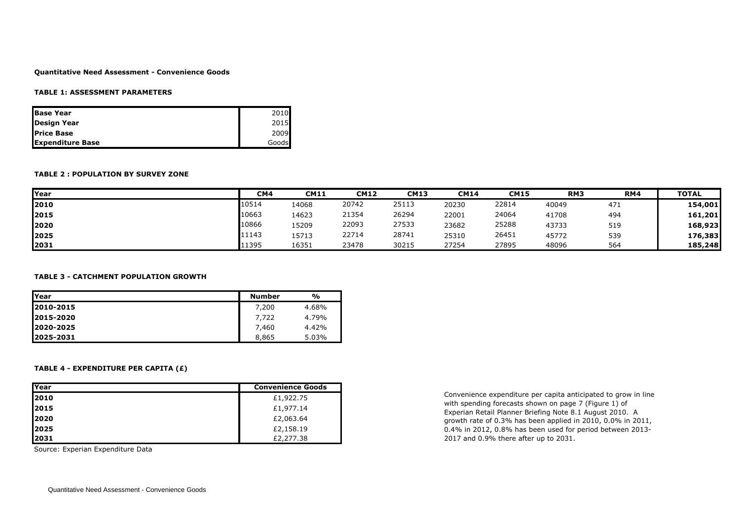### **Quantitative Need Assessment - Convenience Goods**

### **TABLE 1: ASSESSMENT PARAMETERS**

| <b>Base Year</b>        | 2010  |
|-------------------------|-------|
| Design Year             | 2015  |
| <b>IPrice Base</b>      | 2009  |
| <b>Expenditure Base</b> | Goods |

### **TABLE 2 : POPULATION BY SURVEY ZONE**

| <b>Year</b> | CM4   | <b>CM11</b> | <b>CM12</b> | <b>CM13</b> | <b>CM14</b> | <b>CM15</b> | RM <sub>3</sub> | RM4 | <b>TOTAL</b> |
|-------------|-------|-------------|-------------|-------------|-------------|-------------|-----------------|-----|--------------|
| 2010        | 10514 | 14068       | 20742       | 25113       | 20230       | 22814       | 40049           | 471 | 154,001      |
| 2015        | 10663 | 14623       | 21354       | 26294       | 22001       | 24064       | 41708           | 494 | 161,201      |
| 2020        | 10866 | 15209       | 22093       | 27533       | 23682       | 25288       | 43733           | 519 | 168,923      |
| 2025        | 11143 | 15713       | 22714       | 28741       | 25310       | 26451       | 45772           | 539 | 176,383      |
| 2031        | 11395 | 16351       | 23478       | 30215       | 27254       | 27895       | 48096           | 564 | 185,248      |

#### **TABLE 3 - CATCHMENT POPULATION GROWTH**

| <b>lYear</b> | <b>Number</b> | %     |
|--------------|---------------|-------|
| 2010-2015    | 7,200         | 4.68% |
| 2015-2020    | 7.722         | 4.79% |
| 2020-2025    | 7,460         | 4.42% |
| 12025-2031   | 8,865         | 5.03% |

## **TABLE 4 - EXPENDITURE PER CAPITA (£)**

| <b>IYear</b> | <b>Convenience Goods</b> |
|--------------|--------------------------|
| 2010         | £1,922.75                |
| 2015         | £1,977.14                |
| <b>12020</b> | £2,063.64                |
| <b>12025</b> | £2,158.19                |
| 2031         | £2,277.38                |

Source: Experian Expenditure Data

Convenience expenditure per capita anticipated to grow in line with spending forecasts shown on page 7 (Figure 1) of Experian Retail Planner Briefing Note 8.1 August 2010. A growth rate of 0.3% has been applied in 2010, 0.0% in 2011, 0.4% in 2012, 0.8% has been used for period between 2013- 2017 and 0.9% there after up to 2031.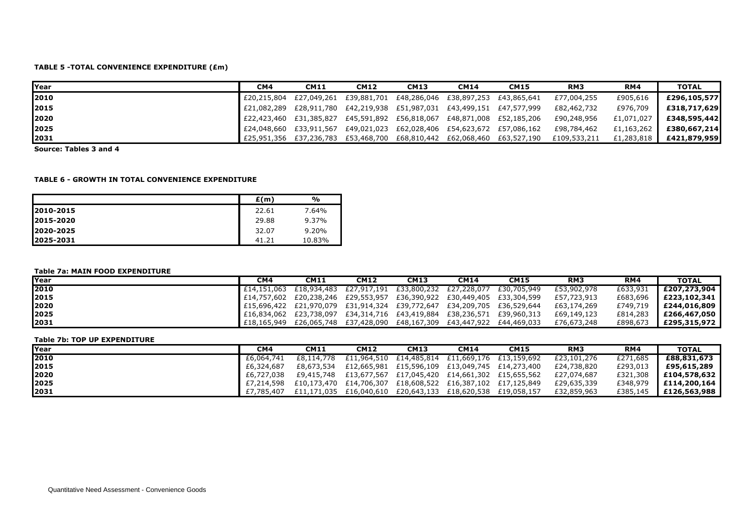# **TABLE 5 -TOTAL CONVENIENCE EXPENDITURE (£m)**

| <b>Year</b> | CM4 | <b>CM11</b> | <b>CM12</b> | <b>CM13</b>                                                             | <b>CM14</b> | <b>CM15</b>                                                             | RM <sub>3</sub> | RM4        | <b>TOTAL</b> |
|-------------|-----|-------------|-------------|-------------------------------------------------------------------------|-------------|-------------------------------------------------------------------------|-----------------|------------|--------------|
| 2010        |     |             |             | £20,215,804 £27,049,261 £39,881,701 £48,286,046 £38,897,253 £43,865,641 |             |                                                                         | £77,004,255     | £905,616   | £296,105,577 |
| 2015        |     |             |             |                                                                         |             | £21,082,289 £28,911,780 £42,219,938 £51,987,031 £43,499,151 £47,577,999 | £82,462,732     | £976,709   | £318,717,629 |
| 2020        |     |             |             |                                                                         |             | £22,423,460 £31,385,827 £45,591,892 £56,818,067 £48,871,008 £52,185,206 | £90,248,956     | £1,071,027 | £348,595,442 |
| 2025        |     |             |             |                                                                         |             | £24,048,660 £33,911,567 £49,021,023 £62,028,406 £54,623,672 £57,086,162 | £98,784,462     | £1,163,262 | £380,667,214 |
| 2031        |     |             |             |                                                                         |             | £25,951,356 £37,236,783 £53,468,700 £68,810,442 £62,068,460 £63,527,190 | £109,533,211    | £1,283,818 | £421,879,959 |

**Source: Tables 3 and 4**

#### **TABLE 6 - GROWTH IN TOTAL CONVENIENCE EXPENDITURE**

|            | E(m)  | %      |
|------------|-------|--------|
| 2010-2015  | 22.61 | 7.64%  |
| 2015-2020  | 29.88 | 9.37%  |
| 12020-2025 | 32.07 | 9.20%  |
| 12025-2031 | 41.21 | 10.83% |

#### **Table 7a: MAIN FOOD EXPENDITURE**

| <b>IYear</b> | CM4 | <b>CM11</b> | <b>CM12</b> | <b>CM13</b>                                                             | <b>CM14</b> | <b>CM15</b>                                                                    | RM <sub>3</sub> | RM4      | <b>TOTAL</b>   |
|--------------|-----|-------------|-------------|-------------------------------------------------------------------------|-------------|--------------------------------------------------------------------------------|-----------------|----------|----------------|
| 2010         |     |             |             |                                                                         |             | $£14,151,063  £18,934,483  £27,917,191  £33,800,232  £27,228,077  £30,705,949$ | £53,902,978     | £633,931 | £207,273,904 l |
| 2015         |     |             |             |                                                                         |             | E14,757,602 E20,238,246 E29,553,957 E36,390,922 E30,449,405 E33,304,599        | £57,723,913     | £683,696 | E223,102,341   |
| 2020         |     |             |             | E15,696,422 E21,970,079 E31,914,324 E39,772,647 E34,209,705 E36,529,644 |             |                                                                                | £63,174,269     | £749,719 | £244,016,809   |
| 2025         |     |             |             |                                                                         |             | E16,834,062 E23,738,097 E34,314,716 E43,419,884 E38,236,571 E39,960,313        | £69,149,123     | £814,283 | £266,467,050 l |
| 2031         |     |             |             | £18,165,949 £26,065,748 £37,428,090 £48,167,309 £43,447,922 £44,469,033 |             |                                                                                | £76,673,248     | £898,673 | £295,315,972   |

#### **Table 7b: TOP UP EXPENDITURE**

| Year | CM4        | <b>CM11</b> | <b>CM12</b>                                                 | <b>CM13</b> | <b>CM14</b> | <b>CM15</b> | RM <sub>3</sub> | RM4      | <b>TOTAL</b> |
|------|------------|-------------|-------------------------------------------------------------|-------------|-------------|-------------|-----------------|----------|--------------|
| 2010 | £6,064,741 | £8,114,778  | £11,964,510 £14,485,814 £11,669,176 £13,159,692             |             |             |             | £23,101,276     | £271,685 | £88,831,673  |
| 2015 | £6,324,687 | £8,673,534  | £12,665,981 £15,596,109 £13,049,745 £14,273,400             |             |             |             | £24,738,820     | £293,013 | £95,615,289  |
| 2020 | £6,727,038 | £9,415,748  | £13,677,567 £17,045,420 £14,661,302 £15,655,562             |             |             |             | £27,074,687     | £321,308 | £104,578,632 |
| 2025 | £7,214,598 |             | £10,173,470 £14,706,307 £18,608,522 £16,387,102 £17,125,849 |             |             |             | £29,635,339     | £348,979 | £114,200,164 |
| 2031 | £7.785.407 |             | £11,171,035 £16,040,610 £20,643,133 £18,620,538 £19,058,157 |             |             |             | £32,859,963     | £385,145 | £126,563,988 |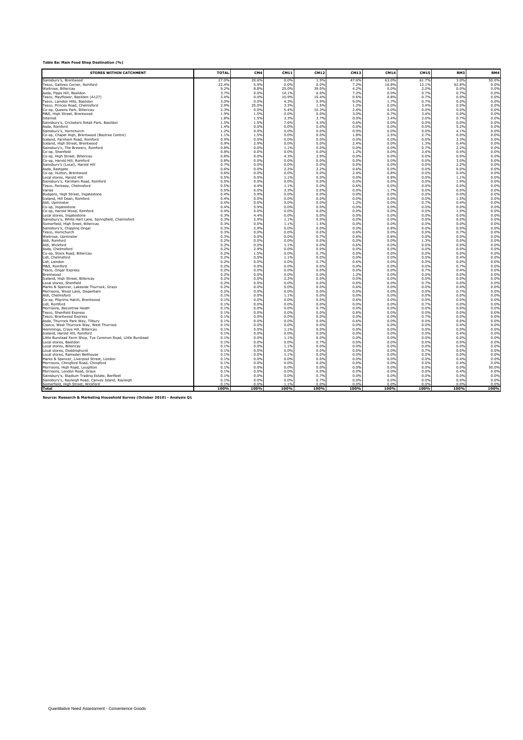|  | Table 8a: Main Food Shop Destination (%) |  |
|--|------------------------------------------|--|

| <b>STORES WITHIN CATCHMENT</b>                                                               | <b>TOTAI</b> | CM <sub>4</sub> | CM11         | CM12          | CM13         | <b>CM14</b>  | <b>CM15</b>  | RM3          | RM4          |
|----------------------------------------------------------------------------------------------|--------------|-----------------|--------------|---------------|--------------|--------------|--------------|--------------|--------------|
| Sainsburv's. Brentwood                                                                       | 27.0%        | 20.6%           | 0.09         | 1.5%          | 47.6%        | 63.0%        | 61.79        | 3.0%         | 50.0%        |
| Tesco. Gallows Corner. Romford                                                               | 22.49        | 5.9%            | 0.0%         | 0.0%          | 7.2%         | 16.8%        | 12.19        | 62.8%        | 0.0%         |
| Waitrose, Billericay                                                                         | 9.2%         | 8.8%            | 25.0%        | 39.0%         | 4.2%         | 0.0%         | 2.0%         | 0.0%         | 0.0%         |
| Asda, Pipps Hill, Basildon                                                                   | 3.7%         | 0.0%            | 14.1%        | 6.6%          | 7.2%         | 0.0%         | 0.7%         | 0.7%         | 0.0%         |
| Tesco, Mayflower, Basildon (A127)                                                            | 3.4%         | 0.0%            | 10.9%        | 15.4%         | 0.6%         | 0.8%         | 0.7%         | 0.0%         | 0.0%         |
| Tesco. Laindon Hills. Basildon                                                               | 3.0%         | 0.0%            | 4.3%         | 5.9%          | 9.0%         | 1.7%         | 0.7%         | 0.0%         | 0.0%         |
| Tesco, Princes Road, Chelmsford<br>Co-op, Queens Park, Billericay                            | 2.9%<br>2.3% | 25.0%<br>0.0%   | 3.3%<br>5.4% | 1.5%<br>10.3% | 1.2%<br>2.4% | 0.0%<br>0.0% | 3.4%<br>0.0% | 0.0%<br>0.0% | 0.0%<br>0.0% |
| M&S, High Street, Brentwood                                                                  | 1.9%         | 1.5%            | 0.0%         | 0.0%          | 3.0%         | 6.7%         | 3.4%         | 0.0%         | 0.0%         |
| Internet                                                                                     | 1.8%         | 1.5%            | 3.3%         | 3.7%          | 0.0%         | 3.4%         | 2.0%         | 0.7%         | 0.0%         |
| Sainsburv's. Cricketers Retail Park. Basildon                                                | 1.5%         | 1.5%            | 7.6%         | 4.4%          | 0.6%         | 0.0%         | 0.0%         | 0.0%         | 0.0%         |
| Asda. Romford                                                                                | 1.4%         | 0.0%            | 0.0%         | 0.0%          | 0.0%         | 0.0%         | 0.0%         | 5.2%         | 0.0%         |
| Sainsbury's, Hornchurch                                                                      | 1.2%         | 0.0%            | 0.0%         | 0.0%          | 0.0%         | 0.0%         | 0.0%         | 4.1%         | 0.0%         |
| Co-op, Chapel High, Brentwood (Baytree Centre)                                               | 1.1%         | 1.5%            | 0.0%         | 0.0%          | 1.8%         | 2.5%         | 2.7%         | 0.0%         | 0.0%         |
| Iceland, Farnham Road, Romford                                                               | 0.9%         | 0.0%            | 0.0%         | 0.0%          | 0.0%         | 0.0%         | 0.09         | 3.3%         | 0.0%         |
| Iceland. High Street. Brentwood                                                              | 0.9%         | 2.9%            | 0.0%         | 0.0%          | 2.4%         | 0.0%         | 1.3%         | 0.4%         | 0.0%         |
| Sainsbury's, The Brewery, Romford                                                            | 0.8%         | 0.0%            | 1.1%         | 0.0%          | 0.0%         | 0.0%         | 0.7%         | 2.2%         | 0.0%         |
| Co-op, Shenfield<br>Co-op, High Street, Billericay                                           | 0.8%<br>0.8% | 0.0%<br>0.0%    | 0.0%<br>4.3% | 0.0%<br>2.9%  | 1.2%<br>0.0% | 0.0%<br>0.0% | 3.4%<br>0.0% | 0.4%<br>0.0% | 0.0%<br>0.0% |
| Co-op, Harold Hill, Romford                                                                  | 0.8%         | 0.0%            | 0.0%         | 0.0%          | 0.0%         | 0.0%         | 0.0%         | 3.0%         | 0.0%         |
| Sainsbury's (Local), Harold Hill                                                             | 0.7%         | 0.0%            | 0.0%         | 0.0%          | 0.0%         | 0.0%         | 0.0%         | 2.2%         | 0.0%         |
| Asda, Eastgate                                                                               | 0.6%         | 0.0%            | 2.2%         | 2.2%          | 0.6%         | 0.0%         | 0.0%         | 0.0%         | 0.0%         |
| Co-op, Hutton, Brentwood                                                                     | 0.6%         | 0.0%            | 0.0%         | 0.0%          | 2.4%         | 0.8%         | 0.0%         | 0.4%         | 0.0%         |
| Local stores, Harold Hill                                                                    | 0.5%         | 0.0%            | 1.1%         | 0.0%          | 0.0%         | 0.8%         | 0.0%         | 1.1%         | 0.0%         |
| Sainsbury's, Farnham Road, Romford                                                           | 0.5%         | 0.0%            | 0.0%         | 0.0%          | 0.0%         | 0.0%         | 0.0%         | 1.9%         | 0.0%         |
| Tesco. Parkwav. Chelmsford                                                                   | 0.5%         | 4.4%            | 1.1%         | 0.0%          | 0.6%         | 0.0%         | 0.0%         | 0.0%         | 0.0%         |
| Varies                                                                                       | 0.5%         | 0.0%            | 3.3%         | 0.0%          | 0.0%         | 1.7%         | 0.0%         | 0.0%         | 0.0%         |
| Budgens. High Street. Ingatestone                                                            | 0.4%         | 5.9%            | 0.0%         | 0.0%          | 0.0%         | 0.0%         | 0.0%         | 0.0%         | 0.0%         |
| Iceland, Hill Dean, Romford                                                                  | 0.4%         | 0.0%            | 0.0%<br>0.0% | 0.0%          | 0.0%         | 0.0%         | 0.0%         | 1.5%<br>0.4% | 0.0%         |
| Aldi, Upminster<br>Co-op. Ingatestone                                                        | 0.4%<br>0.49 | 0.0%<br>5.9%    | 0.0%         | 0.0%<br>0.0%  | 1.2%<br>0.0% | 0.0%<br>0.0% | 0.7%<br>0.09 | 0.0%         | 0.0%<br>0.0% |
| Co-op. Harold Wood. Romford                                                                  | 0.49         | 0.0%            | 0.0%         | 0.0%          | 0.0%         | 0.0%         | 0.0%         | 1.5%         | 0.0%         |
| Local stores. Ingatestone                                                                    | 0.39         | 4.4%            | 0.0%         | 0.0%          | 0.0%         | 0.0%         | 0.0%         | 0.0%         | 0.0%         |
| Sainsbury's, White Hart Lane, Springfield, Chelmsford                                        | 0.39         | 2.9%            | 1.1%         | 0.0%          | 0.0%         | 0.0%         | 0.0%         | 0.0%         | 0.0%         |
| Somerfield, High Sreet, Billericay                                                           | 0.39         | 0.0%            | 1.1%         | 1.5%          | 0.0%         | 0.0%         | 0.0%         | 0.0%         | 0.0%         |
| Sainsbury's, Chipping Ongar                                                                  | 0.3%         | 2.9%            | 0.0%         | 0.0%          | 0.0%         | 0.8%         | 0.0%         | 0.0%         | 0.0%         |
| Tesco, Hornchurch                                                                            | 0.3%         | 0.0%            | 0.0%         | 0.0%          | 0.6%         | 0.0%         | 0.0%         | 0.7%         | 0.0%         |
| Waitrose, Upminster                                                                          | 0.3%         | 0.0%            | 0.0%         | 0.7%          | 0.6%         | 0.8%         | 0.0%         | 0.0%         | 0.0%         |
| Aldi, Romford                                                                                | 0.2%         | 0.0%            | 0.0%         | 0.0%          | 0.0%         | 0.0%         | 1.3%         | 0.0%         | 0.0%         |
| Aldi, Wickford                                                                               | 0.2%<br>0.2% | 0.0%<br>2.9%    | 1.1%<br>0.0% | 0.0%<br>0.0%  | 0.6%<br>0.0% | 0.0%<br>0.0% | 0.0%         | 0.0%<br>0.0% | 0.0%<br>0.0% |
| Asda. Chelmsford<br>Co-op. Stock Road. Billericav                                            | 0.2%         | 1.5%            | 0.0%         | 0.7%          | 0.0%         | 0.0%         | 0.0%<br>0.09 | 0.0%         | 0.0%         |
| Lidl, Chelmsford                                                                             | 0.2%         | 0.0%            | 1.1%         | 0.0%          | 0.0%         | 0.0%         | 0.0%         | 0.4%         | 0.0%         |
| Lidl, Laindon                                                                                | 0.29         | 0.0%            | 0.0%         | 0.79          | 0.6%         | 0.09         | 0.09         | 0.0%         | 0.0%         |
| M&S, Romford                                                                                 | 0.29         | 0.0%            | 0.0%         | 0.0%          | 0.0%         | 0.0%         | 0.09         | 0.7%         | 0.0%         |
| Tesco, Ongar Express                                                                         | 0.29         | 0.0%            | 0.0%         | 0.0%          | 0.0%         | 0.0%         | 0.7%         | 0.4%         | 0.0%         |
| Brentwood                                                                                    | 0.29         | 0.0%            | 0.0%         | 0.0%          | 1.2%         | 0.0%         | 0.0%         | 0.0%         | 0.0%         |
| Iceland. High Street. Billericav                                                             | 0.29         | 0.0%            | 2.2%         | 0.0%          | 0.0%         | 0.0%         | 0.0%         | 0.0%         | 0.0%         |
| Local stores, Shenfield                                                                      | 0.29         | 0.0%            | 0.0%         | 0.0%          | 0.6%         | 0.0%         | 0.7%         | 0.0%         | 0.0%         |
| Marks & Spencer, Lakeside Thurrock, Grays<br>Morrisons, Wood Lane, Dagenham                  | 0.29<br>0.29 | 0.0%<br>0.0%    | 0.0%<br>0.0% | 0.0%<br>0.0%  | 0.6%<br>0.0% | 0.0%<br>0.0% | 0.0%<br>0.0% | 0.4%<br>0.7% | 0.0%<br>0.0% |
| Aldi. Chelmsford                                                                             | 0.1%         | 0.0%            | 1.1%         | 0.0%          | 0.0%         | 0.0%         | 0.0%         | 0.0%         | 0.0%         |
| Co-op. Pilarims Hatch. Brentwood                                                             | 0.1%         | 0.0%            | 0.0%         | 0.0%          | 0.6%         | 0.0%         | 0.0%         | 0.0%         | 0.0%         |
| Lidl, Romford                                                                                | 0.1%         | 0.0%            | 0.0%         | 0.0%          | 0.0%         | 0.0%         | 0.7%         | 0.0%         | 0.0%         |
| Morrisons, Becontree Heath                                                                   | 0.1%         | 0.0%            | 0.0%         | 0.7%          | 0.0%         | 0.0%         | 0.0%         | 0.0%         | 0.0%         |
| Tesco, Shenfield Express                                                                     | 0.1%         | 0.0%            | 0.0%         | 0.0%          | 0.6%         | 0.0%         | 0.0%         | 0.0%         | 0.0%         |
| Tesco. Brentwood Express                                                                     | 0.1%         | 0.0%            | 0.0%         | 0.0%          | 0.0%         | 0.0%         | 0.7%         | 0.0%         | 0.0%         |
| Asda. Thurrock Park Wav. Tilburv                                                             | 0.1%         | 0.0%            | 0.0%         | 0.0%          | 0.6%         | 0.0%         | 0.0%         | 0.0%         | 0.0%         |
| Costco, West Thurrock Way, West Thurrock                                                     | 0.19         | 0.0%            | 0.0%         | 0.0%          | 0.0%         | 0.0%         | 0.09         | 0.4%         | 0.0%         |
| Hemmings, Crays Hill, Billericay                                                             | 0.19         | 0.0%            | 1.1%         | 0.0%          | 0.0%         | 0.0%         | 0.09         | 0.0%         | 0.0%         |
| Iceland, Harold Hill, Romford<br>Little Burstead Farm Shop. Tve Common Road. Little Burstead | 0.19<br>0.19 | 0.0%<br>0.0%    | 0.0%<br>1.1% | 0.0%<br>0.0%  | 0.0%<br>0.0% | 0.0%<br>0.0% | 0.0%<br>0.0% | 0.4%<br>0.0% | 0.0%<br>0.0% |
| Local stores. Basildon                                                                       | 0.19         | 0.0%            | 0.0%         | 0.7%          | 0.0%         | 0.0%         | 0.09         | 0.0%         | 0.0%         |
| Local stores. Billericav                                                                     | 0.19         | 0.0%            | 1.1%         | 0.0%          | 0.0%         | 0.0%         | 0.0%         | 0.0%         | 0.0%         |
| Local stores, Doddinghurst                                                                   | 0.1%         | 0.0%            | 0.0%         | 0.0%          | 0.0%         | 0.0%         | 0.7%         | 0.0%         | 0.0%         |
| Local stores, Ramsden Bellhouse                                                              | 0.1%         | 0.0%            | 1.1%         | 0.0%          | 0.0%         | 0.0%         | 0.0%         | 0.0%         | 0.0%         |
| Marks & Spencer. Liverpool Street. London                                                    | 0.1%         | 0.0%            | 0.0%         | 0.0%          | 0.0%         | 0.0%         | 0.0%         | 0.4%         | 0.0%         |
| Morrisons. Chinaford Road. Chinaford                                                         | 0.1%         | 0.0%            | 0.0%         | 0.0%          | 0.0%         | 0.0%         | 0.0%         | 0.4%         | 0.0%         |
| Morrisons. High Road. Loughton                                                               | 0.1%         | 0.0%            | 0.0%         | 0.0%          | 0.0%         | 0.0%         | 0.0%         | 0.0%         | 50.0%        |
| Morrisons, London Road, Grays                                                                | 0.1%         | 0.0%            | 0.0%         | 0.0%          | 0.0%         | 0.0%         | 0.0%         | 0.4%         | 0.0%         |
| Sainsbury's, Stadium Trading Estate, Benfleet                                                | 0.1%         | 0.0%            | 0.0%         | 0.7%          | 0.0%         | 0.0%         | 0.0%         | 0.0%         | 0.0%         |
| Sainsburv's. Ravleigh Road. Canvev Island. Ravleigh<br>Somerfield, High Street, Wickford     | 0.1%<br>0.1% | 0.0%<br>0.0%    | 0.0%<br>110  | 0.7%<br>0.0%  | 0.0%<br>0.0% | 0.0%<br>0.0% | 0.0%<br>0.0% | 0.0%<br>n no | 0.0%<br>0.0% |
| <b>Total</b>                                                                                 | 100%         | 100%            | 100%         | 100%          | 100%         | 100%         | 100%         | 100%         | 100%         |
|                                                                                              |              |                 |              |               |              |              |              |              |              |

**Source: Research & Marketing Household Survey (October 2010) - Analysis Q1**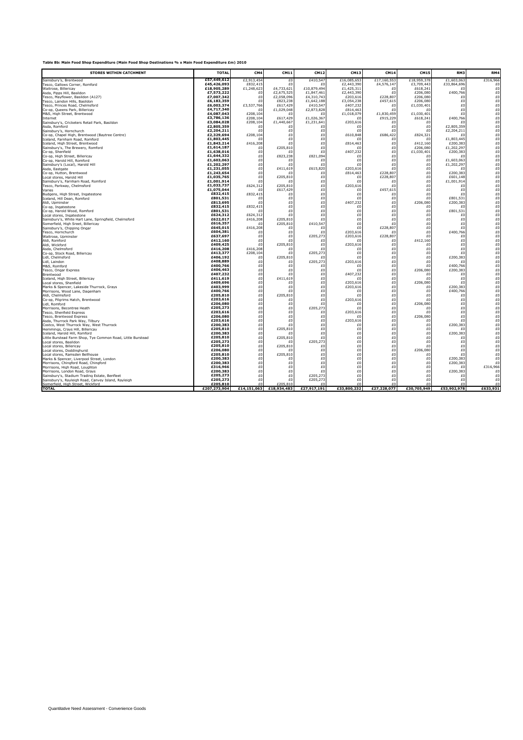## **Table 8b: Main Food Shop Expenditure (Main Food Shop Destinations % x Main Food Expenditure £m) 2010**

| <b>STORES WITHIN CATCHMENT</b>                                                              | <b>TOTA</b>               | CM <sub>4</sub>      | CM11                     | <b>CM12</b>              | CM13                     | CM1                | <b>CM15</b>          | RM3                    | RM4                                 |
|---------------------------------------------------------------------------------------------|---------------------------|----------------------|--------------------------|--------------------------|--------------------------|--------------------|----------------------|------------------------|-------------------------------------|
| Sainsburv's. Brentwood                                                                      | £57,449,612               | £2,913,454           | £                        | £410,54                  | £16,085,653              | £17,160,553        | £18,959,378          | £1,603,063             | £316,966                            |
| Tesco. Gallows Corner. Romford                                                              | £45,426,093               | £832,415             | £0                       | -£1                      | £2,443,390               | £4,576,14          | £3,709,443           | £33,864,696            | £O                                  |
| Waitrose, Billericay<br>Asda, Pipps Hill, Basildon                                          | £18,905,289<br>£7,573,222 | £1,248,623<br>£C     | £4,733,621<br>£2,675,525 | £10,879,494<br>£1,847,46 | £1,425,311<br>£2,443,390 | f(<br>$\mathbf{f}$ | £618,241<br>£206,080 | f(<br>£400,766         | £O<br>£0                            |
| Fesco, Mayflower, Basildon (A127)                                                           | £7,007,342                | £0                   | £2,058,096               | £4,310,74                | £203,616                 | £228,80            | £206,080             | £O                     | Ξō                                  |
| Fesco, Laindon Hills, Basildon                                                              | £6,183,359                | £O                   | £823,238                 | £1,642,188               | £3,054,238               | £457,61            | £206,080             | £0                     | £0                                  |
| Fesco, Princes Road, Chelmsford                                                             | £6,003,374                | £3,537,766           | £617,429                 | £410,54                  | £407,232                 | £                  | £1,030,401           | £0                     | £0                                  |
| Co-op, Queens Park, Billericay                                                              | £4,717,340                | £C                   | £1,029,048               | £2,873,828               | £814,463                 | f(                 |                      | £0                     | £0                                  |
| M&S, High Street, Brentwood                                                                 | £4,087,043                | £208,104             | £C                       | $\mathbf{f}$             | £1,018,079               | £1,830,459         | £1,030,401           | f(                     |                                     |
| Internet<br>Sainsburv's. Cricketers Retail Park. Basildon                                   | £3,786,136<br>£3,084,028  | £208,104<br>£208,104 | £617,429<br>£1,440,667   | £1,026,36<br>£1,231,64   | £<br>£203,616            | £915,229<br>f(     | £618,241<br>£ſ       | £400,766<br>f          |                                     |
| Asda, Romford                                                                               | £2,805,359                | £O                   | f                        | £                        | £0                       | £                  | f(                   | £2,805,359             |                                     |
| Sainsbury's, Hornchurch                                                                     | £2,204,211                | £0                   | £0                       | f(                       | f                        | f(                 | f(                   | £2,204,211             |                                     |
| Co-op, Chapel High, Brentwood (Baytree Centre)                                              | £2,329,694                | £208,104             | £0                       | £0                       | £610,848                 | £686,422           | £824,321             | -F(                    |                                     |
| Iceland, Farnham Road, Romford                                                              | £1,803,445                | £0                   | £0                       | £0                       | £                        | £                  | £0                   | £1,803,445             |                                     |
| Iceland, High Street, Brentwood<br>Sainsbury's, The Brewery, Romford                        | £1,843,214<br>£1,614,187  | £416,208<br>£O       | £0<br>£205,810           | £0<br>£0                 | £814,463<br>£            | £0<br>£0           | £412.160<br>£206,080 | £200,383<br>£1,202,297 |                                     |
| Co-op, Shenfield                                                                            | £1,638,016                | £0                   | £0                       | £0                       | £407,232                 | £0                 | £1,030,401           | £200,383               |                                     |
| Co-op, High Street, Billericay                                                              | £1,644,332                | £0                   | £823,238                 | £821,094                 | £O                       | £0                 | £O                   | £ſ                     |                                     |
| Co-op, Harold Hill, Romford                                                                 | £1,603,063                | £0                   | f                        | £0                       | £0                       | £0                 | £0                   | £1,603,063             |                                     |
| Sainsburv's (Local). Harold Hill                                                            | £1,202,297                | £0                   | £0                       | $\mathbf{f}$             | £0                       | £O                 | £0                   | £1,202,297             |                                     |
| Asda. Eastoate                                                                              | £1,231,055<br>£1,243,654  | £0<br>£0             | £411,619<br>f(           | £615,820<br>£            | £203,616<br>£814,463     | £<br>£228.80       | £0<br>£0             | £<br>£200,383          |                                     |
| Co-op. Hutton. Brentwood<br>Local stores, Harold Hill                                       | £1,035,765                | £0                   | £205,810                 | £                        | £0                       | £228.807           | £0                   | £601.148               |                                     |
| Sainsbury's, Farnham Road, Romford                                                          | £1,001,914                | £C                   | f(                       | £                        | £0                       | £                  | £0                   | £1,001,914             |                                     |
| Tesco, Parkway, Chelmsford                                                                  | £1,033,737                | £624,312             | £205,810                 | £0                       | £203,616                 | £                  | £O                   | £                      |                                     |
| Varies                                                                                      | £1,075,044                | £0                   | £617,429                 | £O                       | £0                       | £457,615           | £0                   | £0                     |                                     |
| Budgens, High Street, Ingatestone                                                           | £832,415<br>£801,531      | £832,415             | £0                       | £0<br>£0                 | £O                       | £                  | £O<br>£              | £ſ<br>£801,531         |                                     |
| Iceland, Hill Dean, Romford<br>Aldi, Upminster                                              | £813,695                  | £O<br>£O             | £0<br>£0                 | £0                       | £O<br>£407,232           | £O<br>£0           | £206,080             | £200,383               |                                     |
| Co-op. Ingatestone                                                                          | £832,415                  | £832,415             | £0                       | £0                       | £0                       | f                  | £ſ                   | f(                     |                                     |
| Co-op. Harold Wood. Romford                                                                 | £801,531                  | f(                   | £0                       | £0                       | £O                       | f                  | £0                   | £801,531               |                                     |
| Local stores, Ingatestone                                                                   | £624,312                  | £624,312             | £0                       | £C                       | £O                       | £O                 | £0                   | f                      |                                     |
| Sainsbury's, White Hart Lane, Springfield, Chelmsford<br>Somerfield, High Sreet, Billericav | £622,017<br>£616,357      | £416,208<br>f        | £205,810<br>£205,810     | f(<br>£410,547           | £0<br>£0                 | £O<br>£            | f(<br>£0             | £0<br>£0               |                                     |
| Sainsbury's, Chipping Ongar                                                                 | £645,015                  | £416,208             | f(                       | £C                       | £0                       | £228,80            | £0                   | £0                     |                                     |
| Tesco, Hornchurch                                                                           | £604,381                  | £C                   | £0                       | £                        | £203,616                 | $\mathbf{f}$       | £0                   | £400.766               | 65050505050505050505050505050505050 |
| Waitrose, Upminster                                                                         | £637,697                  | £O                   | £0                       | £205,273                 | £203,616                 | £228,807           | £٢                   | £O                     |                                     |
| Aldi, Romford                                                                               | £412,160<br>£409,425      | £O                   | £0                       | f(                       | £                        | £                  | £412,160             | £0                     |                                     |
| Aldi, Wickford<br>Asda. Chelmsford                                                          | £416,208                  | £O<br>£416,208       | £205,810<br>f            | f<br>f(                  | £203,616<br>£O           | £0<br>£O           | £C<br>£0             | £0<br>f(               |                                     |
| Co-op. Stock Road. Billericav                                                               | £413,377                  | £208,104             | £0                       | £205,273                 | £0                       | £O                 | f(                   | £O                     | £0                                  |
| Lidl, Chelmsford                                                                            | £406,192                  | £0                   | £205,810                 | £                        | £0                       | £O                 | £ſ                   | £200,383               |                                     |
| Lidl, Laindon                                                                               | £408,889                  | £0                   | f                        | £205,273                 | £203,616                 | £O                 | £O                   | f(                     |                                     |
| M&S, Romford<br>Tesco, Ongar Express                                                        | £400,766<br>£406,463      | £0<br>£O             | £0<br>£0                 | -£1<br>$\mathbf{f}$      | f(<br>f(                 | £<br>£             | £٢<br>£206,080       | £400.766<br>£200,383   |                                     |
| Brentwood                                                                                   | £407,232                  | £O                   | £0                       | £                        | £407,232                 | £O                 | £١                   | £                      |                                     |
| Iceland, High Street, Billericav                                                            | £411,619                  | £O                   | £411,619                 | £0                       | £                        | £O                 | £١                   | £O                     |                                     |
| Local stores, Shenfield                                                                     | £409,696                  | £0                   | £0                       | £O                       | £203,616                 | £O                 | £206,080             | f                      |                                     |
| Marks & Spencer, Lakeside Thurrock, Grays                                                   | £403,999                  | £0                   | £0                       | £O                       | £203,616                 | £O                 | £0                   | £200,383               |                                     |
| Morrisons, Wood Lane, Dagenham                                                              | £400,766<br>£205,810      | £0<br>£0             | f<br>£205,810            | £0<br>£0                 | £0<br>£                  | £0<br>£0           | £0<br>£              | £400,766<br>f          |                                     |
| Aldi. Chelmsford<br>Co-op. Pilarims Hatch. Brentwood                                        | £203,616                  | £0                   | f                        | £0                       | £203,616                 | £O                 | £                    | £0                     |                                     |
| Lidl, Romford                                                                               | £206,080                  | £0                   | £0                       | £٢                       | £0                       | £0                 | £206,080             | £0                     |                                     |
| Morrisons, Becontree Heath                                                                  | £205,273                  | £0                   | £0                       | £205,273                 | £                        | £0                 | £                    | £0                     |                                     |
| Tesco, Shenfield Express                                                                    | £203,616                  | £0                   | £0                       | £C                       | £203,616                 | £0                 | £ſ                   | £0<br>£0               |                                     |
| Tesco, Brentwood Express<br>Asda, Thurrock Park Way, Tilbury                                | £206,080<br>£203,616      | £0<br>£0             | £0<br>£0                 | £0<br>£0                 | £ſ<br>£203,616           | £0<br>£0           | £206,080<br>£        | £0                     |                                     |
| Costco, West Thurrock Way, West Thurrock                                                    | £200,383                  | £0                   | £0                       | £0                       | £O                       | £0                 | £0                   | £200,383               |                                     |
| Hemmings, Crays Hill, Billericay                                                            | £205,810                  | £0                   | £205,810                 | £0                       | £O                       | £0                 | £0                   | £                      |                                     |
| Iceland, Harold Hill, Romford                                                               | £200,383                  | £0                   | -fr                      | £0                       | £0                       | £O                 | £0                   | £200,383               |                                     |
| Little Burstead Farm Shop. Tve Common Road. Little Burstead                                 | £205,810                  | £0                   | £205,810                 | f(                       | £0                       | f(                 | f()                  | f(                     |                                     |
| Local stores. Basildon<br>Local stores, Billericav                                          | £205,273<br>£205,810      | £0<br>£0             | f<br>£205,810            | £205,273<br>£            | £0<br>£0                 | £0<br>£O           | £Ū<br>£ſ             | £0<br>£0               |                                     |
| Local stores, Doddinghurst                                                                  | £206,080                  | £O                   | f(                       | £0                       | £0                       | £O                 | £206,080             | £0                     |                                     |
| Local stores, Ramsden Bellhouse                                                             | £205,810                  | £O                   | £205,810                 | £C                       | £O                       | £                  | £ſ                   | f(                     |                                     |
| Marks & Spencer. Liverpool Street. London                                                   | £200,383                  | £O                   | f(                       | £0                       | £O                       | £                  | £٢                   | £200.383               | £Ó                                  |
| Morrisons, Chingford Road, Chingford                                                        | £200,383                  | £O                   | £0                       | £0                       | £O                       | £                  | £                    | £200,383               | £0                                  |
| Morrisons, High Road, Loughton<br>Morrisons, London Road, Grays                             | £316,966<br>£200,383      | £O<br>£O             | £0<br>£0                 | £0<br>£٢                 | £0<br>£0                 | £<br>£             | £0<br>£O             | f(<br>£200,383         | £316,966<br>£0                      |
| Sainsbury's, Stadium Trading Estate, Benfleet                                               | £205,273                  | £0                   | £0                       | £205,273                 | £0                       | £O                 | £0                   | f                      | £0                                  |
| Sainsburv's. Ravleigh Road. Canvev Island. Ravleigh                                         | £205,273                  | £0                   | £0                       | £205,273                 | £O                       | £O                 | £0                   | £0                     | £0                                  |
| Somerfield, High Street, Wickford                                                           | £205,810                  | £0                   | £205,810                 | f                        | £Ū                       | f(                 | £Ū                   | £Ū                     | £0                                  |
| <b>TOTAL</b>                                                                                | £207,273,904              | £14,151,063          | £18,934,483              | £27,917,191              | £33,800,232              | £27,228,077        | £30,705,949          | £53,902,978            | £633,931                            |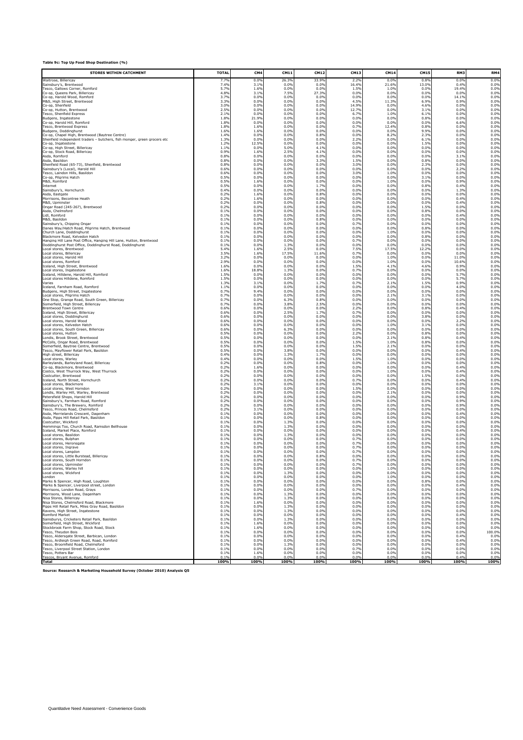| <b>STORES WITHIN CATCHMENT</b>                                           | <b>TOTAI</b> | CM <sub>4</sub> | CM1:         | CM1          | CM13         | CM14         | <b>CM15</b>  | RM3          | RM4          |
|--------------------------------------------------------------------------|--------------|-----------------|--------------|--------------|--------------|--------------|--------------|--------------|--------------|
| Waitrose, Billericav                                                     | 7.7%         | 0.09            | 26.39        | 33.9%        | 2.2%         | 0.09         | 0.8%         | 0.0%         | 0.0%         |
| Sainsburv's. Brentwood                                                   | 7.4%         | 3.1%            | 0.0%         | 0.09         | 16.4%        | 21.6%        | 13.0%        | 0.4%         | 0.0%         |
| Fesco, Gallows Corner, Romford                                           | 5.7%         | 1.6%            | 0.0%         | 0.0%         | 1.5%         | 1.0%         | 0.0%         | 19.4%        | 0.0%         |
| Co-op, Queens Park, Billericay                                           | 4.8%         | 3.1%            | 7.5%         | 27.3%        | 0.0%         | 0.0%         | 0.0%         | 0.0%         | 0.0%         |
| Co-op. Harold Wood, Romford                                              | 3.7%         | 0.0%            | 0.0%         | 0.0%         | 0.0%         | 0.0%         | 0.0%         | 14.1%        | 0.0%         |
| M&S. High Street. Brentwood                                              | 3.3%         | 0.0%            | 0.0%         | 0.0%         | 4.5%         | 11.3%        | 6.9%         | 0.9%         | 0.0%         |
| Co-op. Shenfield                                                         | 3.0%         | 0.0%            | 0.0%         | 0.0%         | 14.9%        | 0.0%         | 4.6%         | 0.0%         | 0.0%         |
| Co-op, Hutton, Brentwood                                                 | 2.5%         | 0.0%            | 0.0%         | 0.0%         | 12.7%        | 0.0%         | 3.1%         | 0.0%         | 0.0%         |
| Tesco, Shenfield Express                                                 | 2.1%         | 0.0%            | 0.0%         | 0.0%         | 6.7%         | 1.0%         | 6.1%         | 0.0%         | 0.0%         |
| Budgens, Ingatestone                                                     | 1.8%         | 21.9%           | 0.0%         | 0.0%         | 0.0%         | 0.0%         | 0.8%         | 0.0%         | 0.0%         |
| Co-op, Harold Hill, Romford                                              | 1.8%         | 0.0%            | 0.0%         | 0.0%         | 0.0%         | 0.0%         | 0.0%         | 6.6%         | 0.0%         |
| <b>Fesco, Brentwood Express</b>                                          | 1.8%         | 1.6%            | 0.0%         | 0.0%         | 0.7%         | 12.4%        | 0.8%         | 0.0%         | 0.0%         |
| Budgens, Doddinghurst                                                    | 1.6%         | 1.6%            | 0.0%         | 0.0%         | 0.0%         | 0.0%         | 9.9%         | 0.0%         | 0.0%         |
| Co-op, Chapel High, Brentwood (Baytree Centre)                           | 1.4%         | 0.0%            | 0.0%         | 0.8%         | 0.0%         | 8.2%         | 2.3%         | 0.0%         | 0.0%         |
| Shenfield independent traders - butchers, fish monger, green grocers etc | 1.3%         | 0.0%            | 0.0%         | 0.0%         | 2.2%         | 0.0%         | 6.1%         | 0.0%         | 0.0%         |
| Co-op. Ingatestone                                                       | 1.2%         | 12.5%           | 0.0%         | 0.0%         | 0.0%         | 0.0%         | 1.5%         | 0.0%         | 0.0%         |
| Co-op. High Street. Billericav                                           | 1.19         | 0.0%            | 5.0%         | 4.1%         | 0.0%         | 0.0%         | 0.0%         | 0.0%         | 0.0%         |
| Co-op, Stock Road, Billericav                                            | 0.9%         | 1.6%            | 2.5%         | 4.1%         | 0.0%         | 0.0%         | 0.0%         | 0.0%         | 0.0%         |
| Asda, Romford                                                            | 0.8%         | 0.0%            | 0.0%         | 0.0%         | 0.0%         | 0.0%         | 0.0%         | 3.1%         | 0.0%         |
| Asda, Basildon                                                           | 0.8%         | 0.0%            | 0.0%         | 3.3%         | 1.5%         | 0.0%         | 0.8%         | 0.0%         | 0.0%         |
| Shenfield Road (65-73). Shenfield. Brentwood                             | 0.8%         | 0.0%            | 0.0%         | 0.0%         | 3.0%         | 0.0%         | 2.3%         | 0.0%         | 0.0%         |
| Sainsburv's (Local). Harold Hill                                         | 0.6%         | 0.0%            | 0.0%         | 0.0%         | 0.0%         | 0.0%         | 0.0%         | 2.2%         | 0.0%         |
| Tesco, Laindon Hills, Basildon                                           | 0.6%         | 0.0%            | 0.0%         | 0.09         | 3.0%         | 1.0%         | 0.0%         | 0.0%         | 0.0%         |
| Co-op, Pilgrims Hatch                                                    | 0.5%         | 0.0%            | 0.0%         | 0.0%         | 0.0%         | 0.0%         | 3.1%         | 0.0%         | 0.0%         |
| M&S, Romford                                                             | 0.5%         | 1.6%            | 0.0%         | 0.0%         | 0.0%         | 1.0%         | 0.0%         | 0.9%         | 0.0%         |
| Internet                                                                 | 0.5%         | 0.0%            | 0.0%         | 1.79         | 0.0%         | 0.0%         | 0.8%         | 0.4%         | 0.0%         |
| Sainsburv's. Hornchurch                                                  | 0.4%         | 0.0%            | 0.0%         | 0.0%         | 0.0%         | 0.0%         | 0.0%         | 1.3%         | 0.0%         |
| Asda. Eastoate                                                           | 0.2%         | 1.6%            | 0.0%         | 0.89         | 0.0%         | 0.0%         | 0.0%         | 0.0%         | 0.0%         |
| Morrisons, Becontree Heath                                               | 0.2%         | 1.6%            | 0.0%         | 0.09         | 0.0%         | 0.0%         | 0.0%         | 0.4%         | 0.0%         |
| M&S, Upminster                                                           | 0.2%         | 0.0%            | 0.0%         | 0.8%         | 0.0%         | 0.0%         | 0.0%         | 0.4%         | 0.0%         |
| Ongar Road (245-267). Brentwood                                          | 0.2%         | 0.0%            | 0.0%         | 0.0%         | 0.0%         | 0.0%         | 1.5%         | 0.0%         | 0.0%         |
| Asda. Chelmsford                                                         | 0.1%         | 0.0%            | 0.0%         | 0.0%         | 0.0%         | 0.0%         | 0.8%         | 0.0%         | 0.0%         |
| Lidl. Romford                                                            | 0.1%         | 0.0%            | 0.0%         | 0.0%         | 0.0%         | 0.0%         | 0.0%         | 0.4%         | 0.0%         |
| M&S, Basildon                                                            | 0.1%         | 0.0%            | 0.0%         | 0.89         | 0.0%         | 0.0%         | 0.0%         | 0.0%         | 0.0%         |
| Sainsbury's, Chipping Ongar                                              | 0.1%         | 0.0%            | 0.0%         | 0.0%         | 0.7%         | 0.0%         | 0.0%         | 0.0%         | 0.0%         |
| Danes Wav/Hatch Road, Pilgrims Hatch, Brentwood                          | 0.1%         | 0.0%            | 0.0%         | 0.0%         | 0.0%         | 0.0%         | 0.8%         | 0.0%         | 0.0%         |
| Church Lane. Doddinghurst                                                | 0.1%         | 0.0%            | 0.0%         | 0.0%         | 0.0%         | 1.0%         | 0.0%         | 0.0%         | 0.0%         |
| Blackmore Road. Kelvedon Hatch                                           | 0.1%         | 0.0%            | 0.0%         | 0.0%         | 0.0%         | 0.0%         | 0.8%         | 0.0%         | 0.0%         |
| Hanging Hill Lane Post Office, Hanging Hill Lane, Hutton, Brentwood      | 0.1%         | 0.0%            | 0.0%         | 0.0%         | 0.7%         | 0.0%         | 0.09         | 0.0%         | 0.0%         |
| Doddinghurst Post Office, Doddinghurst Road, Doddinghurst                | 0.1%         | 0.0%            | 1.3%         | 0.0%         | 0.0%         | 0.0%         | 0.0%         | 0.0%         | 0.0%         |
| Local stores. Brentwood                                                  | 5.4%         | 1.6%            | 2.5%         | 0.0%         | 7.5%         | 17.5%        | 12.2%        | 0.0%         | 0.0%         |
| Local stores. Billericav                                                 | 3.5%         | 1.6%            | 17.5%        | 11.6%        | 0.7%         | 0.0%         | 0.0%         | 0.0%         | 0.0%         |
| Local stores. Harold Hill                                                | 3.2%         | 0.0%            | 0.0%         | 0.0%         | 0.0%         | 1.0%         | 0.0%         | 11.0%        | 0.0%         |
| Local stores, Romford                                                    | 2.9%         | 0.0%            | 0.0%         | 0.0%         | 0.0%         | 1.0%         | 0.0%         | 10.6%        | 0.0%         |
|                                                                          | 1.6%         | 0.0%            | 0.0%         | 0.0%         | 1.5%         | 4.1%         | 4.6%         | 0.9%         | 0.0%         |
| Iceland, High Street, Brentwood<br>Local stores, Inqatestone             | 1.6%         | 18.8%           | 1.3%         | 0.0%         | 0.7%         | 0.0%         | 0.0%         | 0.0%         | 0.0%         |
| Iceland. Hilldene. Harold Hill. Romford                                  | 1.5%         | 0.0%            | 0.0%         | 0.0%         | 0.0%         | 0.0%         | 0.0%         | 5.7%         | 0.0%         |
| Local stores Hilldene. Romford                                           | 1.5%         | 0.0%            | 0.0%         | 0.0%         | 0.0%         | 0.0%         | 0.0%         | 5.7%         | 0.0%         |
| Varies                                                                   | 1.3%         | 3.1%            | 0.0%         | 1.7%         | 0.7%         | 2.1%         | 1.5%         | 0.9%         | 0.0%         |
| Iceland, Farnham Road, Romford                                           | 1.1%         | 0.0%            | 0.0%         | 0.0%         | 0.0%         | 0.0%         | 0.0%         | 4.0%         | 0.0%         |
| Budgens, High Street, Ingatestone                                        | 0.7%         | 9.4%            | 0.0%         | 0.0%         | 0.0%         | 0.0%         | 0.0%         | 0.0%         | 0.0%         |
| Local stores. Pilgrims Hatch                                             | 0.7%         | 0.0%            | 0.0%         | 0.0%         | 0.0%         | 2.1%         | 3.1%         | 0.0%         | 0.0%         |
| One Stop. Grange Road. South Green. Billericav                           | 0.7%         | 0.0%            | 6.3%         | 0.8%         | 0.0%         | 0.0%         | 0.0%         | 0.0%         | 0.0%         |
| Somerfield, High Street, Billericay                                      | 0.7%         | 0.0%            | 3.8%         | 2.5%         | 0.0%         | 0.0%         | 0.0%         | 0.0%         | 0.0%         |
| <b>Brentwood Town Centre</b>                                             | 0.6%         | 0.0%            | 0.0%         | 0.0%         | 2.2%         | 0.0%         | 0.8%         | 0.4%         | 0.0%         |
| Iceland, High Street, Billericay                                         | 0.6%         | 0.0%            | 2.5%         | 1.79         | 0.7%         | 0.0%         | 0.0%         | 0.0%         | 0.0%         |
| Local stores, Doddinghurst                                               | 0.6%         | 0.0%            | 0.0%<br>0.0% | 0.0%         | 0.0%         | 0.0%         | 3.8%         | 0.0%         | 0.0%         |
| Local stores. Harold Wood                                                | 0.6%         | 0.0%            | 0.0%         | 0.0%         | 0.0%         | 0.0%         | 0.0%         | 2.2%         | 0.0%         |
| Local stores, Kelvedon Hatch                                             | 0.6%         | 0.0%            |              | 0.0%         | 0.0%         | 1.0%         | 3.1%         | 0.0%         | 0.0%         |
| Local stores, South Green, Billericav                                    | 0.6%         | 0.0%            | 6.3%         | 0.0%         | 0.0%         | 0.0%         | 0.0%         | 0.0%         | 0.0%         |
| Local stores, Hutton                                                     | 0.5%         | 0.0%            | 0.0%         | 0.0%         | 2.2%         | 0.0%         | 0.8%         | 0.0%         | 0.0%         |
| Londis. Brook Street. Brentwood                                          | 0.5%         | 0.0%<br>0.0%    | 0.0%<br>0.0% | 0.0%         | 0.0%         | 2.1%         | 0.8%         | 0.4%<br>0.0% | 0.0%         |
| McColls. Ongar Road. Brentwood<br>Somerfield, Baytree Centre, Brentwood  | 0.5%<br>0.5% | 0.0%            | 0.0%         | 0.0%<br>0.0% | 1.5%<br>1.5% | 1.0%<br>2.1% | 0.8%<br>0.0% | 0.0%         | 0.0%<br>0.0% |
| Tesco, Mavflower Retail Park, Basildon                                   | 0.5%         | 0.0%            | 3.8%         | 0.0%         | 0.0%         | 0.0%         | 0.0%         | 0.4%         | 0.0%         |
| High street, Billericay                                                  | 0.49         | 0.0%            | 1.3%         | 1.79         | 0.0%         | 0.0%         | 0.0%         | 0.0%         | 0.0%         |
| Local stores. Warlev                                                     | 0.4%         | 0.0%<br>0.0%    | 0.0%<br>0.0% | 0.0%<br>0.89 | 1.5%         | 1.0%         | 0.0%         | 0.0%<br>0.0% | 0.0%<br>0.0% |
| Barlevlands. Barlevland Road. Billericav<br>Co-op, Blackmore, Brentwood  | 0.2%<br>0.2% | 1.6%            | 0.0%         | 0.0%         | 0.0%<br>0.0% | 1.0%<br>0.0% | 0.0%<br>0.0% | 0.4%         | 0.0%         |
| Costco, West Thurrock Way, West Thurrock                                 | 0.2%         | 0.0%            | 0.0%         | 0.0%         | 0.0%         | 1.0%         | 0.0%         | 0.4%         | 0.0%         |
| Costcutter, Brentwood                                                    | 0.2%         | 0.0%            | 0.0%         | 0.0%         | 0.0%         | 0.0%         | 1.5%         | 0.0%         | 0.0%         |
| Iceland. North Street. Hornchurch                                        | 0.2%         | 0.0%            | 0.0%<br>0.0% | 0.0%         | 0.7%         | 0.0%         | 0.0%         | 0.4%<br>0.0% | 0.0%         |
| Local stores. Blackmore<br>Local stores, West Horndon                    | 0.2%<br>0.2% | 3.1%<br>0.0%    | 0.0%         | 0.0%<br>0.0% | 0.0%<br>1.5% | 0.0%<br>0.0% | 0.0%<br>0.0% | 0.0%         | 0.0%<br>0.0% |
| Londis, Warley Hill, Warley, Brentwood                                   | 0.2%         | 0.0%            | 0.0%         | 0.0%         | 0.0%         | 2.1%         | 0.0%         | 0.0%         | 0.0%         |
| Petersfield Shops, Harold Hill                                           | 0.2%         | 0.0%            | 0.0%         | 0.0%         | 0.0%         | 0.0%         | 0.0%         | 0.9%         | 0.0%         |
| Sainsburv's. Farnham Road. Romford                                       | 0.2%         | 0.0%            | 0.0%         | 0.0%         | 0.0%         | 0.0%         | 0.0%         | 0.9%         | 0.0%         |
| Sainsburv's. The Brewerv. Romford                                        | 0.2%         | 0.0%            | 0.0%         | 0.0%         | 0.0%         | 0.0%         | 0.0%         | 0.9%         | 0.0%         |
| Tesco, Princes Road, Chelmsford                                          | 0.2%         | 3.1%            | 0.0%         | 0.0%         | 0.0%         | 0.0%         | 0.0%         | 0.0%         | 0.0%         |
| Asda, Merrielands Crescent, Dagenham                                     | 0.1%         | 0.0%            | 0.0%         | 0.0%         | 0.0%         | 0.0%         | 0.0%         | 0.4%         | 0.0%         |
| Asda, Pipps Hill Retail Park, Basildon                                   | 0.1%         | 0.0%            | 0.0%         | 0.8%         | 0.0%         | 0.0%         | 0.0%         | 0.0%         | 0.0%         |
| Costcutter. Wickford                                                     | 0.1%         | 0.0%            | 1.3%         | 0.0%         | 0.0%         | 0.0%         | 0.0%         | 0.0%         | 0.0%         |
| Hemmings Too. Church Road. Ramsdon Bellhouse                             | 0.1%         | 0.0%            | 1.3%         | 0.0%         | 0.0%         | 0.0%         | 0.0%         | 0.0%         | 0.0%         |
| Iceland, Market Place, Romford                                           | 0.1%         | 0.0%            | 0.0%         | 0.0%         | 0.0%         | 0.0%         | 0.0%         | 0.4%         | 0.0%         |
| Local stores, Basildon                                                   | 0.1%         | 0.0%            | 1.3%         | 0.0%         | 0.0%         | 0.0%         | 0.0%         | 0.0%         | 0.0%         |
| Local stores, Bulphan                                                    | 0.19         | 0.0%            | 0.0%         | 0.0%         | 0.7%         | 0.0%         | 0.0%         | 0.0%         | 0.0%         |
| Local stores. Heronsgate                                                 | 0.1%         | 0.0%            | 0.0%         | 0.0%         | 0.7%         | 0.0%         | 0.0%         | 0.0%         | 0.0%         |
| Local stores. Ingrave                                                    | 0.1%         | 0.0%            | 0.0%         | 0.0%         | 0.7%         | 0.0%         | 0.0%         | 0.0%         | 0.0%         |
| Local stores, Langdon                                                    | 0.1%         | 0.0%            | 0.0%         | 0.0%         | 0.7%         | 0.0%         | 0.0%         | 0.0%         | 0.0%         |
| Local stores, Little Burstead, Billericay<br>ocal stores<br>South Hornd  | 0.1%         | 0.0%<br>n no    | 0.0%<br>n nº | 0.8%<br>n no | 0.0%<br>n 70 | 0.0%<br>n n  | 0.0%<br>n n  | 0.0%<br>n n  | 0.0%<br>n nº |
| Local stores, Upminster                                                  | 0.1%         | 0.0%            | 0.0%         | 0.0%         | 0.7%         | 0.0%         | 0.0%         | 0.0%         | 0.0%         |
| Local stores. Warlev hill                                                | 0.1%         | 0.0%            | 0.0%         | 0.0%         | 0.0%         | 1.0%         | 0.0%         | 0.0%         | 0.0%         |
| Local stores, Wickford                                                   | 0.1%         | 0.0%            | 1.3%         | 0.0%         | 0.0%         | 0.0%         | 0.0%         | 0.0%         | 0.0%         |
| London                                                                   | 0.1%         | 0.0%            | 0.0%         | 0.0%         | 0.0%         | 1.0%         | 0.0%         | 0.0%         | 0.0%         |
| Marks & Spencer, High Road, Loughton                                     | 0.1%         | 0.0%            | 0.0%         | 0.0%         | 0.0%         | 0.0%         | 0.8%         | 0.0%         | 0.0%         |
| Marks & Spencer, Liverpool street, London                                | 0.1%         | 0.0%            | 0.0%         | 0.0%         | 0.0%         | 0.0%         | 0.0%         | 0.4%         | 0.0%         |
| Morrisons. London Road. Gravs                                            | 0.1%         | 0.0%            | 0.0%         | 0.0%         | 0.7%         | 0.0%         | 0.0%         | 0.0%         | 0.0%         |
| Morrisons, Wood Lane, Dagenham                                           | 0.1%         | 0.0%            | 1.3%         | 0.0%         | 0.0%         | 0.0%         | 0.0%         | 0.0%         | 0.0%         |
| Nisa Stores, Billericav<br>Nisa Stores, Chelmsford Road, Blackmore       | 0.1%<br>0.1% | 0.0%            | 1.3%<br>0.0% | 0.0%<br>0.0% | 0.0%<br>0.0% | 0.0%<br>0.0% | 0.0%         | 0.0%<br>0.0% | 0.0%         |
| Pipps Hill Retail Park, Miles Gray Road, Basildon                        | 0.1%         | 1.6%<br>0.0%    | 1.3%         | 0.0%         | 0.0%         | 0.0%         | 0.0%<br>0.0% | 0.0%         | 0.0%<br>0.0% |
| Ravens. High Street. Ingatestone                                         | 0.1%         | 0.0%            | 1.3%         | 0.0%         | 0.0%         | 0.0%         | 0.0%         | 0.0%         | 0.0%         |
| Romford Market                                                           | 0.1%         | 0.0%            | 0.0%         | 0.0%         | 0.0%         | 0.0%         | 0.0%         | 0.4%         | 0.0%         |
| Sainsburvs. Cricketers Retail Park. Basildon                             | 0.1%         | 0.0%            | 1.3%         | 0.0%         | 0.0%         | 0.0%         | 0.0%         | 0.0%<br>0.0% | 0.0%         |
| Somerfield, High Street, Wickford                                        | 0.1%         | 1.6%            | 0.0%         | 0.0%         | 0.0%         | 0.0%         | 0.0%         | 0.0%         | 0.0%         |
| Stockbrook Farm Shop, Stock Road, Stock                                  | 0.1%         | 1.6%            | 0.0%         | 0.0%         | 0.0%         | 0.0%         | 0.0%         |              | 0.0%         |
| Tesco. Thevdon Bois                                                      | 0.1%         | 0.0%            | 0.0%         | 0.0%         | 0.0%         | 0.0%         | 0.0%         | 0.0%         | 100.0%       |
| Tesco. Aldersgate Street. Barbican. London                               | 0.1%         | 0.0%            | 0.0%         | 0.0%         | 0.0%         | 0.0%         | 0.0%         | 0.4%         | 0.0%         |
| Tesco, Ardleigh Green Road, Road, Romford                                | 0.1%         | 0.0%            | 0.0%         | 0.0%         | 0.0%         | 0.0%         | 0.0%         | 0.4%         | 0.0%         |
| Tesco, Broomfield Road, Chelmsford                                       | 0.1%         | 0.0%            | 1.3%         | 0.0%         | 0.0%         | 0.0%         | 0.0%         | 0.0%         | 0.0%         |
| Tesco, Liverpool Street Station, London                                  | 0.1%         | 0.0%            | 0.0%         | 0.0%         | 0.7%         | 0.0%         | 0.0%         | 0.0%         | 0.0%         |
| Tesco. Potters Bar                                                       | 0.1%         | 1.6%            | 0.0%         | 0.0%         | 0.0%         | 0.0%         | 0.0%         | 0.0%         | 0.0%         |
| Tescos, Bryant Avenue, Romford                                           | 0.19         | 0.0%            | 0.0%         | 0.0%         | 0.0%         | 0.09         | 0.0%         | 0.4%         | 0.0%         |
| Total                                                                    | 100%         | 100%            | 100%         | 100%         | 100%         | 100%         | 100%         | 100%         | 100%         |

**Source: Research & Marketing Household Survey (October 2010) Analysis Q5**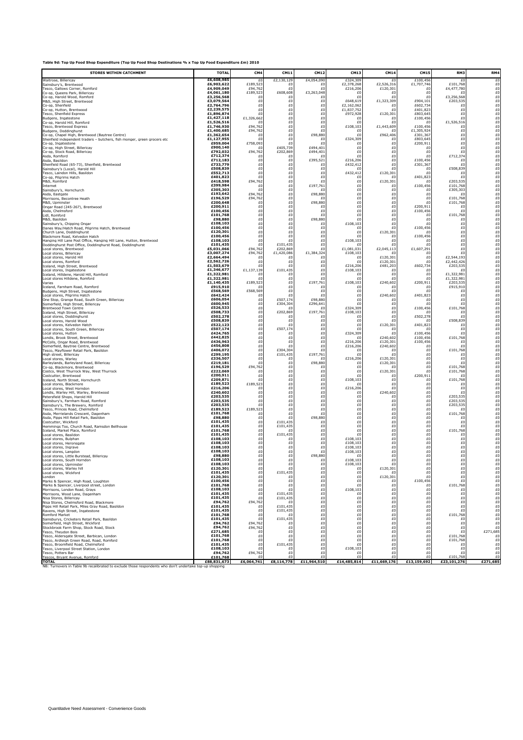| Table 9d: Top Up Food Shop Expenditure (Top Up Food Shop Destinations % x Top Up Food Expenditure £m) 2010 |  |  |
|------------------------------------------------------------------------------------------------------------|--|--|
|------------------------------------------------------------------------------------------------------------|--|--|

| <b>STORES WITHIN CATCHMENT</b>                                                                                          | <b>TOTAI</b>             | CM4                | <b>CM11</b>                                                                                                                                  | CM12              | CM13                   | <b>CM14</b>          | <b>CM15</b>          | RM3                     | RM4                                                                                                                                                                                                                                                                                                                                                                                                                                                                                       |
|-------------------------------------------------------------------------------------------------------------------------|--------------------------|--------------------|----------------------------------------------------------------------------------------------------------------------------------------------|-------------------|------------------------|----------------------|----------------------|-------------------------|-------------------------------------------------------------------------------------------------------------------------------------------------------------------------------------------------------------------------------------------------------------------------------------------------------------------------------------------------------------------------------------------------------------------------------------------------------------------------------------------|
| Waitrose, Billericav                                                                                                    | £6,608,985<br>£6,903,622 | £0<br>£189,523     | £2,130,129                                                                                                                                   | £4,054,090        | £324,309<br>£2,378,268 | £Ο<br>£2,526,316     | £100,45              | £0<br>£101,768          | £0<br>£0                                                                                                                                                                                                                                                                                                                                                                                                                                                                                  |
| Sainsbury's, Brentwood<br>Tesco, Gallows Corner, Romford                                                                | £4,909,049               | £94,762            | £0<br>£                                                                                                                                      | £<br>$\mathbf{f}$ | £216,206               | £120,301             | £1,707,746<br>£0     | £4,477,780              | £0                                                                                                                                                                                                                                                                                                                                                                                                                                                                                        |
| Co-op, Queens Park, Billericay<br>Co-op, Harold Wood, Romford                                                           | £4,061,180<br>£3,256,568 | £189,523<br>£C     | £608,608<br>£0                                                                                                                               | £3,263,048<br>£   | £0<br>£                | £<br>£               | £0<br>£0             | £3,256,568              | $_{\scriptscriptstyle \rm E0}^{\scriptscriptstyle 60}$                                                                                                                                                                                                                                                                                                                                                                                                                                    |
| M&S, High Street, Brentwood                                                                                             | £3,079,564<br>£2.764.796 | £O<br>£0           | £0<br>£0                                                                                                                                     | £<br>£            | £648,619<br>£2,162,062 | £1,323,309<br>£      | £904,101<br>£602,734 | £203,535<br>£O          | £0                                                                                                                                                                                                                                                                                                                                                                                                                                                                                        |
| Co-op, Shenfield<br>Co-op, Hutton, Brentwood                                                                            | £2,239,575               | £C                 | £0                                                                                                                                           | £                 | £1,837,752             | £                    | £401,823             | £0                      | $\begin{array}{c} \text{\small f0}\ 0 \ \text{\small f0}\ 0 \ \text{\small f0}\ 0 \ \text{\small f0}\ \end{array}$                                                                                                                                                                                                                                                                                                                                                                        |
| Tesco, Shenfield Express                                                                                                | £1,896,874               | £0                 | £0                                                                                                                                           | £                 | £972,928               | £120,301             | £803,645             | £0                      |                                                                                                                                                                                                                                                                                                                                                                                                                                                                                           |
| Budgens, Ingatestone                                                                                                    | £1,427,118               | £1,326,662         | £0                                                                                                                                           | £0                | £                      | £                    | £100,456             | £                       |                                                                                                                                                                                                                                                                                                                                                                                                                                                                                           |
| Co-op. Harold Hill. Romford                                                                                             | £1,526,516               | £                  | £0                                                                                                                                           | £                 | £0                     | £0                   | £O                   | £1,526,516              | £0                                                                                                                                                                                                                                                                                                                                                                                                                                                                                        |
| Tesco. Brentwood Express                                                                                                | £1,746,930               | £94,762            | £0                                                                                                                                           | £                 | £108,103               | £1,443,609           | £100,456             | £0                      |                                                                                                                                                                                                                                                                                                                                                                                                                                                                                           |
| Budgens, Doddinghurst                                                                                                   | £1,400,685               | £94,762            | £O                                                                                                                                           | £                 | £0                     | £                    | £1,305,924           | £0                      |                                                                                                                                                                                                                                                                                                                                                                                                                                                                                           |
| Co-op, Chapel High, Brentwood (Baytree Centre)                                                                          | £1,362,654               | £0                 | £0                                                                                                                                           | £98,880           | £0                     | £962,406             | £301,367             | £0                      |                                                                                                                                                                                                                                                                                                                                                                                                                                                                                           |
| Shenfield independent traders - butchers, fish monger, green grocers etc                                                | £1,127,955               | £0                 | £0                                                                                                                                           | £                 | £324,309               | £                    | £803,645             | £0                      |                                                                                                                                                                                                                                                                                                                                                                                                                                                                                           |
| Co-op, Ingatestone                                                                                                      | £959,004                 | £758,093           | £0                                                                                                                                           | £                 | £O                     | £0                   | £200,911             | £0                      |                                                                                                                                                                                                                                                                                                                                                                                                                                                                                           |
| Co-op, High Street, Billericav                                                                                          | £900.140                 | £C                 | £405,739                                                                                                                                     | £494,401          | £0                     | £O                   | £0                   | £0                      |                                                                                                                                                                                                                                                                                                                                                                                                                                                                                           |
| Co-op, Stock Road, Billericay                                                                                           | £792,032<br>£712,374     | £94,762            | £202,869                                                                                                                                     | £494,401          | £C                     | £O                   | £0                   | £0                      |                                                                                                                                                                                                                                                                                                                                                                                                                                                                                           |
| Asda, Romford<br>Asda, Basildon                                                                                         | £712,183                 | £0<br>£O           | £0<br>£0                                                                                                                                     | £395,521          | £0<br>£216,206         | £O<br>£0             | £O<br>£100,456       | £712,374<br>£O          |                                                                                                                                                                                                                                                                                                                                                                                                                                                                                           |
| Shenfield Road (65-73), Shenfield, Brentwood                                                                            | £733,779                 | £O                 | £0                                                                                                                                           | £0                | £432,412               | £0                   | £301,367             | £O                      |                                                                                                                                                                                                                                                                                                                                                                                                                                                                                           |
| Sainsbury's (Local). Harold Hill                                                                                        | £508,839                 | £0                 | £0                                                                                                                                           | £                 | £0                     | £O                   | £0                   | £508,839                |                                                                                                                                                                                                                                                                                                                                                                                                                                                                                           |
| Tesco. Laindon Hills. Basildon                                                                                          | £552,713                 | £C                 | £O                                                                                                                                           | £                 | £432,412               | £120,301             | £0                   | £O                      |                                                                                                                                                                                                                                                                                                                                                                                                                                                                                           |
| Co-op, Pilgrims Hatch                                                                                                   | £401,823                 | £C                 | £0                                                                                                                                           | £0                | £0                     | £                    | £401,823             | £O                      |                                                                                                                                                                                                                                                                                                                                                                                                                                                                                           |
| M&S, Romford                                                                                                            | £418,598                 | £94,762            | $_{\rm E0}^{\rm E0}$                                                                                                                         | £                 | £0                     | £120,301             | £O                   | £203,535                |                                                                                                                                                                                                                                                                                                                                                                                                                                                                                           |
| Internet<br>Sainsburv's. Hornchurch                                                                                     | £399,984<br>£305,303     | £<br>£             | £0                                                                                                                                           | £197,761<br>fl    | £O<br>£0               | £<br>£O              | £100,456<br>£0       | £101,768<br>£305,303    |                                                                                                                                                                                                                                                                                                                                                                                                                                                                                           |
| Asda. Eastgate<br>Morrisons, Becontree Heath                                                                            | £193,642<br>£196,529     | £94,762<br>£94,762 | $\frac{1}{60}$                                                                                                                               | £98,880<br>£      | £C<br>£O               | £O<br>£O             | £0<br>£0             | £ſ<br>£101,768          |                                                                                                                                                                                                                                                                                                                                                                                                                                                                                           |
| M&S, Upminster                                                                                                          | £200,648                 | £O                 | $_{\scriptscriptstyle \pm 0}^{\scriptscriptstyle \pm 0}$                                                                                     | £98,880<br>£      | £0                     | £0                   | £0                   | £101,768<br>£O          |                                                                                                                                                                                                                                                                                                                                                                                                                                                                                           |
| Ongar Road (245-267). Brentwood<br>Asda. Chelmsford                                                                     | £200,911<br>£100,456     | £O<br>£0           |                                                                                                                                              | £                 | £O<br>£0               | £O<br>£O             | £200,911<br>£100,456 | £0                      |                                                                                                                                                                                                                                                                                                                                                                                                                                                                                           |
| Lidl. Romford<br>M&S, Basildon                                                                                          | £101.768<br>£98,880      | £C<br>£O           | $\begin{array}{l} \hbox{\small\it \pounds0}\\ \hbox{\small\it \pounds0}\\ \hbox{\small\it \pounds0}\\ \hbox{\small\it \pounds0} \end{array}$ | f(<br>£98,880     | £C<br>£C               | £O<br>£O             | £0<br>£0             | £101,768<br>£O          |                                                                                                                                                                                                                                                                                                                                                                                                                                                                                           |
| Sainsbury's, Chipping Ongar                                                                                             | £108,103                 | £0                 | £0                                                                                                                                           | £C                | £108,103               | £0                   | £0                   | £0                      | $_{\scriptscriptstyle \rm E0}^{\scriptscriptstyle 60}$                                                                                                                                                                                                                                                                                                                                                                                                                                    |
| Danes Wav/Hatch Road. Pilgrims Hatch. Brentwood                                                                         | £100,456                 | £O                 | £0                                                                                                                                           | £0                | £0                     | £0                   | £100,456             | £0                      |                                                                                                                                                                                                                                                                                                                                                                                                                                                                                           |
| Church Lane, Doddinghurst                                                                                               | £120.301                 | £0                 | £0                                                                                                                                           | £                 | £0                     | £120,301             | £0                   | £0                      |                                                                                                                                                                                                                                                                                                                                                                                                                                                                                           |
| Blackmore Road. Kelvedon Hatch                                                                                          | £100,456                 | £O                 | £0                                                                                                                                           | £                 | £                      | £                    | £100,456             | £0                      |                                                                                                                                                                                                                                                                                                                                                                                                                                                                                           |
| Hanging Hill Lane Post Office, Hanging Hill Lane, Hutton, Brentwood                                                     | £108.103                 | £O                 | £0                                                                                                                                           | £                 | £108,103               | £O                   | £O                   | £0                      |                                                                                                                                                                                                                                                                                                                                                                                                                                                                                           |
| Doddinghurst Post Office, Doddinghurst Road, Doddinghurst                                                               | £101,435                 | £O                 | £101,435                                                                                                                                     | £                 | £                      | £Ο                   | £0                   | £0                      |                                                                                                                                                                                                                                                                                                                                                                                                                                                                                           |
| Local stores, Brentwood                                                                                                 | £5,031,066               | £94,762            | £202,869                                                                                                                                     | £                 | £1,081,031             | £2,045,113           | £1,607,291           | £0                      |                                                                                                                                                                                                                                                                                                                                                                                                                                                                                           |
| Local stores, Billericav                                                                                                | £3,007,274               | £94,762            | £1,420,086<br>f0                                                                                                                             | £1,384,324<br>f(  | £108,103               | £                    | £0                   | £0<br>£2,544,193        |                                                                                                                                                                                                                                                                                                                                                                                                                                                                                           |
| Local stores. Harold Hill<br>Local stores, Romford                                                                      | £2,664,494<br>£2,562,726 | £<br>£O            | £0                                                                                                                                           | £                 | £0<br>£0               | £120,301<br>£120,301 | £0<br>£0             | £2,442,426              |                                                                                                                                                                                                                                                                                                                                                                                                                                                                                           |
| Iceland, High Street, Brentwood                                                                                         | £1,503,679               | £0                 | £0                                                                                                                                           | £O                | £216,206               | £481,203             | £602,734             | £203,535                |                                                                                                                                                                                                                                                                                                                                                                                                                                                                                           |
| Local stores, Ingatestone                                                                                               | £1,346,677               | £1,137,139         | £101,435                                                                                                                                     | £0                | £108,103               | £                    | £0                   | £C                      |                                                                                                                                                                                                                                                                                                                                                                                                                                                                                           |
| Iceland. Hilldene. Harold Hill. Romford                                                                                 | £1,322,981               | £C                 | £0                                                                                                                                           | £                 | £0                     | £O                   | £0                   | £1,322,981              |                                                                                                                                                                                                                                                                                                                                                                                                                                                                                           |
| Local stores Hilldene. Romford                                                                                          | £1,322,981               | £٢                 | £0                                                                                                                                           | f(                | £ſ                     | £                    | £0                   | £1,322,981              |                                                                                                                                                                                                                                                                                                                                                                                                                                                                                           |
| Varies                                                                                                                  | £1,140,435               | £189,523           | £0                                                                                                                                           | £197,761          | £108,103               | £240,602             | £200,911             | £203,535                |                                                                                                                                                                                                                                                                                                                                                                                                                                                                                           |
| Iceland, Farnham Road, Romford                                                                                          | £915,910                 | £0                 | £0                                                                                                                                           | £0                | £0                     | £0                   | £0                   | £915,910                | £0                                                                                                                                                                                                                                                                                                                                                                                                                                                                                        |
| Budgens, High Street, Ingatestone                                                                                       | £568,569                 | £568,569           | £0                                                                                                                                           | £0                | £C                     | £                    | £O                   | £O                      | £0                                                                                                                                                                                                                                                                                                                                                                                                                                                                                        |
| Local stores. Pilgrims Hatch                                                                                            | £642,424                 | £                  | £0                                                                                                                                           | £0                | £0                     | £240,602             | £401,823             | £0                      |                                                                                                                                                                                                                                                                                                                                                                                                                                                                                           |
| One Stop. Grange Road. South Green. Billericav                                                                          | £606,054                 | £C                 | £507,174                                                                                                                                     | £98,880           | £C                     | £                    | £0                   | £0                      |                                                                                                                                                                                                                                                                                                                                                                                                                                                                                           |
| Somerfield, High Street, Billericay<br><b>Brentwood Town Centre</b>                                                     | £600,945<br>£526,533     | £O<br>£0           | £304,304<br>£0                                                                                                                               | £296,641          | £C<br>£324,309         | £O<br>£0             | £0<br>£100,456       | £O<br>£101,768          | $\begin{array}{l} \hbox{\small\it \pounds}{\bf 0}\\ \hbox{\small\it \pounds}{\bf 0}\\ \hbox{\small\it \pounds}{\bf 0}\\ \hbox{\small\it \pounds}{\bf 0}\\ \hbox{\small\it \pounds}{\bf 0}\\ \hbox{\small\it \pounds}{\bf 0}\\ \hbox{\small\it \pounds}{\bf 0}\\ \hbox{\small\it \pounds}{\bf 0}\\ \hbox{\small\it \pounds}{\bf 0}\\ \hbox{\small\it \pounds}{\bf 0}\\ \hbox{\small\it \pounds}{\bf 0}\\ \hbox{\small\it \pounds}{\bf 0}\\ \hbox{\small\it \pounds}{\bf 0}\\ \hbox{\small$ |
| Iceland, High Street, Billericav                                                                                        | £508,733                 | £O                 | £202,869                                                                                                                                     | £197,761          | £108,103               | £O                   | £O                   | £O                      |                                                                                                                                                                                                                                                                                                                                                                                                                                                                                           |
| Local stores. Doddinghurst                                                                                              | £502.278                 | £0                 | £0                                                                                                                                           | £                 | £                      | £O                   | £502,278             | £0                      |                                                                                                                                                                                                                                                                                                                                                                                                                                                                                           |
| Local stores. Harold Wood                                                                                               | £508,839                 | £O                 | £0                                                                                                                                           | £                 | £C                     | f(                   | £0                   | £508,839                | $E0$<br>$E0$<br>$E0$<br>$E0$<br>$E0$<br>$E0$<br>$E0$                                                                                                                                                                                                                                                                                                                                                                                                                                      |
| Local stores, Kelvedon Hatch                                                                                            | £522,123                 | £O                 | £0                                                                                                                                           | £                 | £O                     | £120,301             | £401,823             | £                       |                                                                                                                                                                                                                                                                                                                                                                                                                                                                                           |
| Local stores, South Green, Billericay                                                                                   | £507,174                 | £0                 | £507,174                                                                                                                                     | £O                | £C                     | £0                   | £O                   | £0                      |                                                                                                                                                                                                                                                                                                                                                                                                                                                                                           |
| Local stores, Hutton                                                                                                    | £424,765                 | £O                 | £0                                                                                                                                           | £O                | £324,309               | £                    | £100,456             | £O                      |                                                                                                                                                                                                                                                                                                                                                                                                                                                                                           |
| Londis. Brook Street. Brentwood                                                                                         | £442.825                 | £0                 | £0                                                                                                                                           | £C                | £C                     | £240,602             | £100,456             | £101,768                |                                                                                                                                                                                                                                                                                                                                                                                                                                                                                           |
| McColls. Ongar Road. Brentwood                                                                                          | £436,963                 | £0                 | £O                                                                                                                                           | £                 | £216,206               | £120,301             | £100,456             | £ſ                      |                                                                                                                                                                                                                                                                                                                                                                                                                                                                                           |
| Somerfield. Bavtree Centre. Brentwood                                                                                   | £456,808                 | £O                 | £0                                                                                                                                           | £                 | £216,206               | £240,602             | £0                   | £O                      |                                                                                                                                                                                                                                                                                                                                                                                                                                                                                           |
| Tesco, Mayflower Retail Park, Basildon                                                                                  | £406,072                 | £0                 | £304,304                                                                                                                                     | £0                | £0                     | £0                   | £0                   | £101,768                |                                                                                                                                                                                                                                                                                                                                                                                                                                                                                           |
| High street, Billericav                                                                                                 | £299,195                 | £O                 | £101,435                                                                                                                                     | £197,761          | £                      | £0                   | £0                   | £O                      |                                                                                                                                                                                                                                                                                                                                                                                                                                                                                           |
| Local stores. Warlev                                                                                                    | £336.507                 | £0                 | £0                                                                                                                                           | £                 | £216,206               | £120.301             | £0                   | £0                      |                                                                                                                                                                                                                                                                                                                                                                                                                                                                                           |
| Barlevlands. Barlevland Road. Billericav                                                                                | £219,181                 | £C                 | £O                                                                                                                                           | £98,880           | £0                     | £120,301             | £0                   | f(                      |                                                                                                                                                                                                                                                                                                                                                                                                                                                                                           |
| Co-op. Blackmore. Brentwood                                                                                             | £196,529                 | £94,762            | £0                                                                                                                                           | £0                | £0                     | £                    | £0                   | £101,768                |                                                                                                                                                                                                                                                                                                                                                                                                                                                                                           |
| Costco, West Thurrock Way, West Thurrock                                                                                | £222,069                 | £                  | £0                                                                                                                                           | £O                | £O                     | £120,301             | £0                   | £101,768                |                                                                                                                                                                                                                                                                                                                                                                                                                                                                                           |
| Costcutter, Brentwood                                                                                                   | £200,911                 | £O                 | £0                                                                                                                                           | £0                | £0                     | £O                   | £200,911             | £O                      |                                                                                                                                                                                                                                                                                                                                                                                                                                                                                           |
| Iceland. North Street. Hornchurch                                                                                       | £209.871                 | £                  | £0                                                                                                                                           | £0                | £108,103               | £0                   | £0                   | £101,768                |                                                                                                                                                                                                                                                                                                                                                                                                                                                                                           |
| Local stores. Blackmore                                                                                                 | £189,523                 | £189,523           | £0                                                                                                                                           | £0                | £0                     | £0                   | £0                   | f(                      |                                                                                                                                                                                                                                                                                                                                                                                                                                                                                           |
| Local stores. West Horndon                                                                                              | £216,206                 | £0                 | £0                                                                                                                                           | £O                | £216,206               | £O                   | £0                   | £0                      |                                                                                                                                                                                                                                                                                                                                                                                                                                                                                           |
| Londis, Warley Hill, Warley, Brentwood                                                                                  | £240,602                 | £0                 | £0                                                                                                                                           | £0                | £C                     | £240,602             | £0                   | £O                      |                                                                                                                                                                                                                                                                                                                                                                                                                                                                                           |
| Petersfield Shops, Harold Hill                                                                                          | £203,535                 | £C                 | £0                                                                                                                                           | £C                | £C                     | £                    | £0                   | £203,535                |                                                                                                                                                                                                                                                                                                                                                                                                                                                                                           |
| Sainsburv's. Farnham Road. Romford                                                                                      | £203.535                 | £0                 | £0                                                                                                                                           | £0                | £0                     | £O                   | £0                   | £203.535                |                                                                                                                                                                                                                                                                                                                                                                                                                                                                                           |
| Sainsburv's. The Brewerv. Romford                                                                                       | £203,535                 | £C                 | £0                                                                                                                                           | £0                | £C                     | £O                   | £0                   | £203,535                |                                                                                                                                                                                                                                                                                                                                                                                                                                                                                           |
| Tesco. Princes Road. Chelmsford                                                                                         | £189,523                 | £189,523           | £0                                                                                                                                           | £O                | £O                     | £O                   | £0                   | £0                      | £0                                                                                                                                                                                                                                                                                                                                                                                                                                                                                        |
| Asda, Merrielands Crescent, Dagenham                                                                                    | £101,768                 | £O                 | £0                                                                                                                                           | £C                | £0                     | £0                   | £0                   | £101,768                |                                                                                                                                                                                                                                                                                                                                                                                                                                                                                           |
| Asda, Pipps Hill Retail Park, Basildon                                                                                  | £98,880                  | £                  | £0                                                                                                                                           | £98,880           | £0                     | £0                   | £0                   | £0                      |                                                                                                                                                                                                                                                                                                                                                                                                                                                                                           |
| Costcutter, Wickford                                                                                                    | £101.435                 | £0                 | £101,435                                                                                                                                     | £                 | £0                     | £0                   | £0                   | £0                      | $\begin{array}{l} \hbox{\small\it \pounds}{\bf 0}\\ \hbox{\small\it \pounds}{\bf 0}\\ \hbox{\small\it \pounds}{\bf 0}\\ \hbox{\small\it \pounds}{\bf 0}\\ \hbox{\small\it \pounds}{\bf 0}\\ \hbox{\small\it \pounds}{\bf 0}\\ \hbox{\small\it \pounds}{\bf 0}\\ \hbox{\small\it \pounds}{\bf 0}\\ \hbox{\small\it \pounds}{\bf 0}\\ \hbox{\small\it \pounds}{\bf 0}\\ \hbox{\small\it \pounds}{\bf 0}\\ \hbox{\small\it \pounds}{\bf 0}\\ \hbox{\small\it \pounds}{\bf 0}\\ \hbox{\small$ |
| Hemminas Too. Church Road. Ramsdon Bellhouse                                                                            | £101,435                 | £O                 | £101,435                                                                                                                                     | £                 | £C                     | £0                   | £O                   | £ſ                      |                                                                                                                                                                                                                                                                                                                                                                                                                                                                                           |
| Iceland. Market Place. Romford                                                                                          | £101,768                 | £O                 | £0                                                                                                                                           | £                 | £O                     | £O                   | £0                   | £101,768                |                                                                                                                                                                                                                                                                                                                                                                                                                                                                                           |
| Local stores, Basildon                                                                                                  | £101,435                 | £0                 | £101,435                                                                                                                                     | £                 | £O                     | £0                   | £0                   | £O                      |                                                                                                                                                                                                                                                                                                                                                                                                                                                                                           |
| Local stores, Bulphan                                                                                                   | £108,103<br>£108.103     | £0<br>£0           | £0<br>£0                                                                                                                                     | £<br>£            | £108,103<br>£108.103   | £O<br>£0             | £0<br>£0             | £0<br>£0                |                                                                                                                                                                                                                                                                                                                                                                                                                                                                                           |
| Local stores. Heronsgate<br>Local stores. Ingrave                                                                       | £108.103                 | £O                 | £O                                                                                                                                           | £                 | £108.103               | £O                   | £0                   | £0                      | $E0$<br>$E0$                                                                                                                                                                                                                                                                                                                                                                                                                                                                              |
| Local stores. Lanodon                                                                                                   | £108,103                 | £O                 | £0                                                                                                                                           | £0                | £108,103               | £0                   | £0                   | £0                      | £0                                                                                                                                                                                                                                                                                                                                                                                                                                                                                        |
| Local stores, Little Burstead, Billericay                                                                               | £98,880                  | £0                 | £0                                                                                                                                           | £98,880           | £0                     | £0                   | £0                   | £0                      |                                                                                                                                                                                                                                                                                                                                                                                                                                                                                           |
| Local stores, South Horndon                                                                                             | £108,103                 | £0                 | £0                                                                                                                                           | £0                | £108,103               | £0                   | £0                   | £0                      | £O                                                                                                                                                                                                                                                                                                                                                                                                                                                                                        |
| Local stores, Upminster                                                                                                 | £108,103                 | £C                 | £0                                                                                                                                           | £0                | £108,103               |                      | £0                   | £O                      | £0                                                                                                                                                                                                                                                                                                                                                                                                                                                                                        |
| Local stores. Warlev hill                                                                                               | £120,301                 | £0                 | £0                                                                                                                                           | £                 | £C                     | £120,301             | £0                   | £0                      | £0                                                                                                                                                                                                                                                                                                                                                                                                                                                                                        |
| Local stores. Wickford                                                                                                  | £101,435                 | £O                 | £101,435                                                                                                                                     | £O                | £O                     | £                    | £0                   | £0                      | £0                                                                                                                                                                                                                                                                                                                                                                                                                                                                                        |
| London                                                                                                                  | £120,301                 | £0                 | £0                                                                                                                                           | £0                | £0                     | £120,301             | £0                   | £0                      | £0                                                                                                                                                                                                                                                                                                                                                                                                                                                                                        |
| Marks & Spencer, High Road, Loughton                                                                                    | £100,456                 | £0                 | £0                                                                                                                                           | £                 | £C                     | £                    | £100,456             | £0                      | £0                                                                                                                                                                                                                                                                                                                                                                                                                                                                                        |
| Marks & Spencer, Liverpool street, London                                                                               | £101,768                 | £0                 | £0                                                                                                                                           | £0                | £C                     | £O                   | £0                   | £101,768                |                                                                                                                                                                                                                                                                                                                                                                                                                                                                                           |
| Morrisons. London Road. Gravs                                                                                           | £108,103                 | £C                 | £0                                                                                                                                           | £0                | £108,103               | £O                   | £0                   | £O                      | $\begin{array}{c} 1.6 \\ \hline 0 \\ 0 \\ \hline 0 \end{array}$                                                                                                                                                                                                                                                                                                                                                                                                                           |
| Morrisons. Wood Lane. Dagenham                                                                                          | £101,435                 | £O                 | £101,435                                                                                                                                     | £                 | £0                     | £O                   | £0                   | £0                      |                                                                                                                                                                                                                                                                                                                                                                                                                                                                                           |
| Nisa Stores, Billericay                                                                                                 | £101,435                 | £0                 | £101,435                                                                                                                                     | £O                | £O                     | £0                   | £0                   | £0                      | $\begin{array}{c} \text{\small{£0}}\\ \text{\small{£0}}\\ \text{\small{£0}} \end{array}$                                                                                                                                                                                                                                                                                                                                                                                                  |
| Nisa Stores, Chelmsford Road, Blackmore                                                                                 | £94,762                  | £94.762            | £0                                                                                                                                           | £                 | £C                     | £O                   | £0                   | £0                      |                                                                                                                                                                                                                                                                                                                                                                                                                                                                                           |
| Pipps Hill Retail Park, Miles Gray Road, Basildon                                                                       | £101.435                 | £C                 | £101,435                                                                                                                                     | £O                | £0                     | £0                   | £0                   | £0                      |                                                                                                                                                                                                                                                                                                                                                                                                                                                                                           |
| Ravens. High Street. Ingatestone                                                                                        | £101,435                 | £0                 | £101,435                                                                                                                                     | £                 | £C                     | £O                   | £0                   | f(                      | $E0$<br>$E0$                                                                                                                                                                                                                                                                                                                                                                                                                                                                              |
| Romford Market                                                                                                          | £101,768                 | £O                 | £0                                                                                                                                           | £                 | £O                     | £O                   | £0                   | £101,768                |                                                                                                                                                                                                                                                                                                                                                                                                                                                                                           |
| Sainsburys, Cricketers Retail Park, Basildon                                                                            | £101,435                 | £O                 | £101,435                                                                                                                                     | £O                | £0                     | £0                   | £0                   | £0                      | £0                                                                                                                                                                                                                                                                                                                                                                                                                                                                                        |
| Somerfield, High Street, Wickford                                                                                       | £94,762                  | £94.762            | £0                                                                                                                                           | £                 | £C                     | £0                   | £0                   | £0                      | £0                                                                                                                                                                                                                                                                                                                                                                                                                                                                                        |
| Stockbrook Farm Shop, Stock Road, Stock                                                                                 | £94,762                  | £94,762            | £0                                                                                                                                           | £O                | £0                     | £O                   | £0                   | £0                      | £0                                                                                                                                                                                                                                                                                                                                                                                                                                                                                        |
| Tesco. Thevdon Bois                                                                                                     | £271,685                 | £                  | £0                                                                                                                                           | £                 | £C                     | £O                   | £0                   | f(                      | £271,685                                                                                                                                                                                                                                                                                                                                                                                                                                                                                  |
| Tesco. Aldersaate Street. Barbican. London                                                                              | £101,768                 | £O                 | £0                                                                                                                                           | £                 | £O                     | £O                   | £0                   | £101,768                | £0                                                                                                                                                                                                                                                                                                                                                                                                                                                                                        |
| Tesco, Ardleigh Green Road, Road, Romford                                                                               | £101,768                 | £0                 | £0                                                                                                                                           | £0                | £0                     | £0                   | £0                   | £101,768                | £0                                                                                                                                                                                                                                                                                                                                                                                                                                                                                        |
| Tesco, Broomfield Road, Chelmsford                                                                                      | £101,435                 | £C                 | £101,435                                                                                                                                     | £                 | £C                     | £0                   | £0                   | £0                      | £0                                                                                                                                                                                                                                                                                                                                                                                                                                                                                        |
| Tesco, Liverpool Street Station, London                                                                                 | £108.103                 | £0                 | £0                                                                                                                                           | £0                | £108,103               | £O                   | £0                   | £0                      | £0                                                                                                                                                                                                                                                                                                                                                                                                                                                                                        |
| Tesco. Potters Bar                                                                                                      | £94,762                  | £94,762            | £0                                                                                                                                           | £                 | £0                     | £O                   | £0                   | £O                      | £0                                                                                                                                                                                                                                                                                                                                                                                                                                                                                        |
| Tescos, Bryant Avenue, Romford                                                                                          | £101,768                 | £0<br>£6.064.741   | £0<br>£8.114.778                                                                                                                             | £<br>£11,964,510  | £ſ<br>£14,485,814      | f<br>£11,669,176     | £Ū<br>£13.159.692    | £101,768<br>£23.101.276 | £0<br>£271.685                                                                                                                                                                                                                                                                                                                                                                                                                                                                            |
| <b>TOTAL</b><br>NB: Turnovers in Table 9b recalibrated to exclude those respondents who don't undertake top-up shopping | £88,831,673              |                    |                                                                                                                                              |                   |                        |                      |                      |                         |                                                                                                                                                                                                                                                                                                                                                                                                                                                                                           |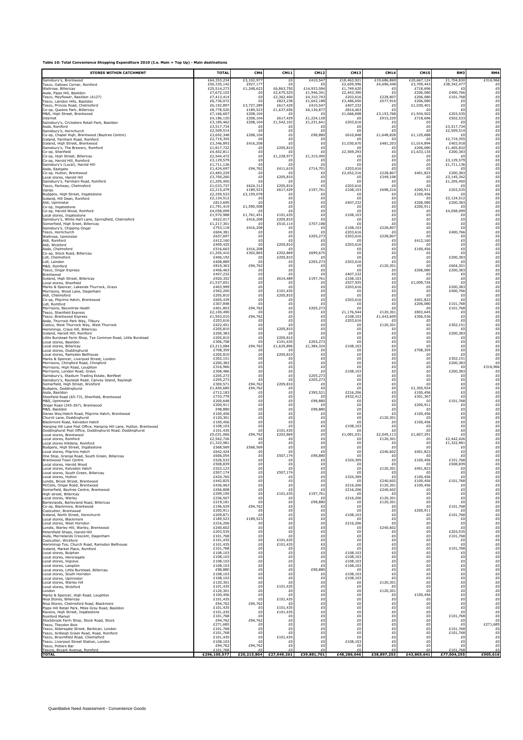| <b>STORES WITHIN CATCHMENT</b>                                      | <b>TOTAL</b>             | CM4             | CM11                     | CM12                     | CM13                   | <b>CM14</b>    | <b>CM15</b>          | RM3                      | RM4                                                                                                                                                                                                                                      |
|---------------------------------------------------------------------|--------------------------|-----------------|--------------------------|--------------------------|------------------------|----------------|----------------------|--------------------------|------------------------------------------------------------------------------------------------------------------------------------------------------------------------------------------------------------------------------------------|
| Sainsburv's. Brentwood                                              | £64,353,234              | £3,102,97       | f(                       | £410,54                  | £18,463,921            | £19,686,869    | £20,667,12           | £1,704,830               | £316,966                                                                                                                                                                                                                                 |
| Tesco, Gallows Corner, Romford                                      | £50,335,142              | £927,177        | £                        | £                        | £2,659,596             | £4,696,448     | £3,709,443           | £38,342,477              | £O                                                                                                                                                                                                                                       |
| Waitrose, Billericav                                                | £25,514,273              | £1,248,623      | £6,863,750               | £14,933,584              | £1,749,620             | £O             | £718,696             | £O                       | £0                                                                                                                                                                                                                                       |
| Asda, Pipps Hill, Basildon                                          | £7,672,102               | £<br>£          | £2,675,525<br>£2,362,400 | £1,946,341               | £2,443,390             | £Ū<br>£228,807 | £206,080             | £400,766                 | $_{\scriptscriptstyle \rm E0}^{\scriptscriptstyle 0}$                                                                                                                                                                                    |
| Tesco, Mayflower, Basildon (A127)<br>Tesco. Laindon Hills. Basildon | £7,413,414<br>£6,736,072 | £O              | £823,238                 | £4,310,743<br>£1,642,188 | £203,616<br>£3,486,650 | £577,916       | £206,080<br>£206,080 | £101,768<br>£0           | £0                                                                                                                                                                                                                                       |
| Tesco, Princes Road, Chelmsford                                     | £6,192,897               | £3,727,289      | £617,429                 | £410,54                  | £407,232               | £O             | £1,030,401           | £0                       | £0                                                                                                                                                                                                                                       |
| Co-op, Oueens Park, Billericav                                      | £8,778,520               | £189.523        | £1,637,656               | £6,136,877               | £814,463               | £0             | £                    | £0                       | £0                                                                                                                                                                                                                                       |
| M&S, High Street, Brentwood                                         | £7,166,60                | £208,104        | £                        | -£0                      | £1,666,698             | £3,153,768     | £1,934,502           | £203,535                 | $E0$<br>$E0$<br>$E0$                                                                                                                                                                                                                     |
| Internet                                                            | £4,186,120               | £208,104        | £617,429                 | £1,224,128               | £0                     | £915,229       | £718,696             | £502,533                 |                                                                                                                                                                                                                                          |
| Sainsburv's. Cricketers Retail Park. Basildon                       | £3,185,462               | £208,104        | £1,542,102               | £1,231,641               | £203,616               | £              | £                    | £                        |                                                                                                                                                                                                                                          |
| Asda, Romford                                                       | £3,517,734               | £0              | £O                       | £O                       | £C                     | £0             | £0                   | £3,517,734               | $\begin{array}{l} \n\hline 60 \\ \n\hline 60 \\ \n\hline 60 \\ \n\hline 60 \n\end{array}$                                                                                                                                                |
| Sainsbury's, Hornchurch                                             | £2,509,514               | £               | £0                       | £0                       | £C                     | £O             | £0                   | £2,509,514               |                                                                                                                                                                                                                                          |
| Co-op, Chapel High, Brentwood (Baytree Centre)                      | £3,692,348               | £208,104        | f(                       | £98,880                  | £610,848               | £1,648,828     | £1,125,688           | f(                       |                                                                                                                                                                                                                                          |
| Iceland, Farnham Road, Romford                                      | £2,719,355               | f(              | £O                       | £0                       | -f (                   | £١             | £ſ                   | £2,719,355               |                                                                                                                                                                                                                                          |
| Iceland. High Street. Brentwood                                     | £3,346,893               | £416,208        | £C                       | £O                       | £1,030,670             | £481,203       | £1,014,894           | £403,918                 |                                                                                                                                                                                                                                          |
| Sainsbury's, The Brewery, Romford                                   | £1,817,722               | £O              | £205,810                 | £0                       | £0                     | £0             | £206,080             | £1,405,832               | $\begin{array}{l} \n\hline 60 \\ \n\hline 60 \\ \n\hline 60 \\ \n\hline 60 \n\end{array}$                                                                                                                                                |
| Co-op, Shenfield                                                    | £4,402,811               | £C              | £C                       | £0                       | £2,569,293             | £0             | £1,633,135           | £200,383                 |                                                                                                                                                                                                                                          |
| Co-op, High Street, Billericay                                      | £2,544,47                | £               | £1,228,977               | £1,315,495               | £C                     | £0             | £C                   | f(                       |                                                                                                                                                                                                                                          |
| Co-op, Harold Hill, Romford                                         | £3,129,579               | £               | £0                       | £                        | £C                     | £O             | £0                   | £3,129,579               |                                                                                                                                                                                                                                          |
| Sainsburv's (Local). Harold Hill                                    | £1,711,136               | £O              | £                        | £                        | £0                     | £0             | £0                   | £1,711,136               |                                                                                                                                                                                                                                          |
| Asda, Eastgate                                                      | £1,424,697               | £94,762         | £411,619                 | £714,701                 | £203,616               | £O             | £O                   | £O                       | £0                                                                                                                                                                                                                                       |
| Co-op, Hutton, Brentwood                                            | £3,483,229               | £C              | £C                       | £0                       | £2,652,216             | £228,807       | £401,823             | £200,383                 |                                                                                                                                                                                                                                          |
| Local stores, Harold Hill<br>Sainsbury's, Farnham Road, Romford     | £3,700,260<br>£1,205,450 | £<br>£0         | £205,810                 | £O<br>£                  | £<br>£0                | £349,108<br>£  | £O<br>£O             | £3,145,342<br>£1,205,450 | $\begin{array}{c} \text{\small f0}\ 0 \ \text{\small f0}\ 0 \ \text{\small f0}\ 0 \ \text{\small f0}\ \end{array}$                                                                                                                       |
| Tesco. Parkwav. Chelmsford                                          | £1,033,737               | £624,312        | £205,810                 | £                        | £203,616               | £              | £                    | £0                       |                                                                                                                                                                                                                                          |
| Varies                                                              | £2,215,479               | £189,523        | £617,429                 | £197,761                 | £108,103               | £698,216       | £200,911             | £203,535                 | $\begin{array}{l} \hbox{\small\it \pounds}{\bf 0}\\ \hbox{\small\it \pounds}{\bf 0}\\ \hbox{\small\it \pounds}{\bf 0}\\ \hbox{\small\it \pounds}{\bf 0}\\ \hbox{\small\it \pounds}{\bf 0}\\ \hbox{\small\it \pounds}{\bf 0} \end{array}$ |
| Budgens. High Street. Ingatestone                                   | £2,259.53                | £2,159,078      | £C                       | £0                       | £C                     | £O             | £100,456             | £0                       |                                                                                                                                                                                                                                          |
| Iceland, Hill Dean, Romford                                         | £2,124,512               | £               | f(                       | £0                       | £٢                     | £0             | £ſ                   | £2,124,512               |                                                                                                                                                                                                                                          |
| Aldi, Upminster                                                     | £813,695                 | £0              | £0                       | £                        | £407,232               | £O             | £206,080             | £200,383                 |                                                                                                                                                                                                                                          |
| Co-op. Ingatestone                                                  | £1,791,419               | £1,590,508      | £0                       | £O                       | £C<br>£0               | £O             | £200,911             | £                        |                                                                                                                                                                                                                                          |
| Co-op, Harold Wood, Romford<br>Local stores. Ingatestone            | £4,058,099<br>£1,970,988 | £<br>£1,761,451 | £0<br>£101,435           | £0<br>£0                 | £108,103               | £0<br>£0       | £0<br>£0             | £4,058,099<br>£0         | $\begin{array}{l} \hbox{\small\it \pounds}{\bf 0}\\ \hbox{\small\it \pounds}{\bf 0}\\ \hbox{\small\it \pounds}{\bf 0}\\ \hbox{\small\it \pounds}{\bf 0}\\ \hbox{\small\it \pounds}{\bf 0}\\ \hbox{\small\it \pounds}{\bf 0} \end{array}$ |
| Sainsbury's, White Hart Lane, Springfield, Chelmsford               | £622,017                 | £416,208        | £205,810                 | £0                       | £                      | £0             | £0                   | f(                       |                                                                                                                                                                                                                                          |
| Somerfield, High Sreet, Billericay                                  | £1,217,301               | £               | £510,114                 | £707,188                 | £0                     | £0             | £0                   | £0                       |                                                                                                                                                                                                                                          |
| Sainsburv's. Chipping Ongar                                         | £753,118                 | £416,208        | £0<br>£0                 | £<br>£                   | £108,103               | £228,807       | £0                   | £O                       |                                                                                                                                                                                                                                          |
| Tesco, Hornchurch<br>Waitrose. Upminster                            | £604,381<br>£637,697     | £O<br>£0        | £0                       | £205,273                 | £203,616<br>£203,616   | £<br>£228,807  | £0<br>£O             | £400,766<br>£0           | $\begin{array}{l} \hbox{\small\it \pounds}{\bf 0}\\ \hbox{\small\it \pounds}{\bf 0}\\ \hbox{\small\it \pounds}{\bf 0}\\ \hbox{\small\it \pounds}{\bf 0}\\ \hbox{\small\it \pounds}{\bf 0}\\ \hbox{\small\it \pounds}{\bf 0} \end{array}$ |
| Aldi, Romford<br>Aldi, Wickford                                     | £412,160<br>£409,425     | £<br>£0         | £٢<br>£205,810           | £0<br>£                  | £C<br>£203,616         | £0<br>£0       | £412,160             | £0<br>£0                 |                                                                                                                                                                                                                                          |
| Asda. Chelmsford                                                    | £516,663<br>£1,205,410   | £416,208        | £202,869                 | £                        | £0                     | £O             | £100,456<br>£O       | £O<br>£0                 |                                                                                                                                                                                                                                          |
| Co-op. Stock Road. Billericav<br>Lidl, Chelmsford                   | £406.192                 | £302,865<br>£C  | £205,810                 | £699,675<br>£0           | £0<br>£                | £0<br>£0       | £0                   | £200,383                 | £0                                                                                                                                                                                                                                       |
| Lidl, Laindon                                                       | £408,889                 | £٢              | £                        | £205,273                 | £203,616               | £O             | £ſ                   | f(                       | $\begin{array}{c} \text{\small f0}\ 0 \ \text{\small f0}\ 0 \ \text{\small f0}\ 0 \ \text{\small f0}\ \end{array}$                                                                                                                       |
| M&S, Romford                                                        | £819,363                 | £94,762         | £0                       | £                        | £C                     | £120,301       | £0                   | £604,301                 |                                                                                                                                                                                                                                          |
| Tesco, Ongar Express                                                | £406,463                 | £C              | £O                       | £                        | £0                     | £              | £206,080             | £200,383                 |                                                                                                                                                                                                                                          |
| Brentwood                                                           | £407,232                 | £0              | £C                       | £                        | £407,232               | £0             | £O                   | £0                       |                                                                                                                                                                                                                                          |
| Iceland. High Street. Billericav                                    | £920.35                  | £0              | £614,489                 | £197,761                 | £108,103               | £0             | £Ū                   | £0                       |                                                                                                                                                                                                                                          |
| Local stores, Shenfield                                             | £1,537,65                | £0              | f(                       | £0                       | £527.925               | £0             | £1,009,726           | f(                       | $\begin{array}{l} \hbox{\small\it \pounds0}\\ \hbox{\small\it \pounds0}\\ \hbox{\small\it \pounds0}\\ \hbox{\small\it \pounds0}\\ \hbox{\small\it \pounds0}\\ \hbox{\small\it \pounds0}\\ \hbox{\small\it \pounds0} \end{array}$         |
| Marks & Spencer, Lakeside Thurrock, Grays                           | £403,999                 | £O              | £C                       | £                        | £203,616               | £O             | £                    | £200,383                 |                                                                                                                                                                                                                                          |
| Morrisons, Wood Lane, Dagenham                                      | £502,200                 | £O              | £101,435                 | £O                       | £0                     | £O             | £O                   | £400,766                 |                                                                                                                                                                                                                                          |
| Aldi, Chelmsford                                                    | £205,810                 | £0              | £205,810                 | £0                       | £C                     | £0             | £O                   | £0                       | $\begin{array}{l} \hbox{\small\it \pounds}{\bf 0}\\ \hbox{\small\it \pounds}{\bf 0}\\ \hbox{\small\it \pounds}{\bf 0}\\ \hbox{\small\it \pounds}{\bf 0}\\ \hbox{\small\it \pounds}{\bf 0}\\ \hbox{\small\it \pounds}{\bf 0} \end{array}$ |
| Co-oo. Pilarims Hatch. Brentwood                                    | £605,439                 | £0              | £C                       | £0                       | £203,616               | £0             | £401,823             | £0                       |                                                                                                                                                                                                                                          |
| Lidl, Romford                                                       | £307,848                 | £               | £0                       | £O                       | £                      | £0             | £206,080             | £101,768                 |                                                                                                                                                                                                                                          |
| Morrisons, Becontree Heath                                          | £401,803                 | £94,762         | £O                       | £205,273                 | £0                     | £0             | £0                   | £101,768                 |                                                                                                                                                                                                                                          |
| Tesco, Shenfield Express                                            | £2,100,490               | £C              | £0                       | £                        | £1,176,544             | £120,301       | £803,645             | £0                       |                                                                                                                                                                                                                                          |
| Tesco, Brentwood Express                                            | £1,953,010               | £94,762         | £0                       | £0                       | £108,103               | £1,443,609     | £306,536             | £0                       | £0                                                                                                                                                                                                                                       |
| Asda. Thurrock Park Wav. Tilburv                                    | £203,616                 | £C              | £0                       | £0                       | £203,616               | £0             | £0                   | £0                       |                                                                                                                                                                                                                                          |
| Costco, West Thurrock Way, West Thurrock                            | £422,451                 | £C              | £0                       | £0                       | £                      | £120,301       | £O                   | £302,151                 | $\begin{array}{l} \hbox{\small\it \pounds}{\bf 0}\\ \hbox{\small\it \pounds}{\bf 0}\\ \hbox{\small\it \pounds}{\bf 0}\\ \hbox{\small\it \pounds}{\bf 0}\\ \hbox{\small\it \pounds}{\bf 0} \end{array}$                                   |
| Hemmings, Crays Hill, Billericay                                    | £205,810                 | £O              | £205,810                 | £0                       | £0                     | £(             | £                    | £                        |                                                                                                                                                                                                                                          |
| Iceland, Harold Hill, Romford                                       | £200,383                 | £O              |                          | £O                       | £0                     | £O             | £O                   | £200,383                 |                                                                                                                                                                                                                                          |
| Little Burstead Farm Shop. Tve Common Road. Little Burstead         | £205,810                 | £0              | £205,810                 | £0                       | £0                     | £0             | £0                   | £0                       | $\begin{array}{l} \hbox{\small\it \pounds}{\bf 0}\\ \hbox{\small\it \pounds}{\bf 0}\\ \hbox{\small\it \pounds}{\bf 0}\\ \hbox{\small\it \pounds}{\bf 0}\\ \hbox{\small\it \pounds}{\bf 0} \end{array}$                                   |
| Local stores, Basildon                                              | £306,708                 | £               | £101,435                 | £205,273                 | £                      | £0             | £0                   | £0                       |                                                                                                                                                                                                                                          |
| Local stores. Billericav                                            | £3,213,084               | £94,762         | £1,625,896               | £1,384,324               | £108,103               | £0             | £Ū                   | f(                       |                                                                                                                                                                                                                                          |
| Local stores, Doddinghurst                                          | £708,359                 | £               | £0                       | £                        | £0                     | £Ο             | £708,359             | £0                       |                                                                                                                                                                                                                                          |
| Local stores, Ramsden Bellhouse                                     | £205,810                 | £O              | £205,810                 | £                        | £0                     | £O             | £                    | £0                       | £0                                                                                                                                                                                                                                       |
| Marks & Spencer, Liverpool Street, London                           | £302,151                 | £0              | £O                       | £0                       | £0                     | £0             | £0                   | £302,151                 | £0                                                                                                                                                                                                                                       |
| Morrisons. Chinaford Road. Chinaford                                | £200.38                  | £0              | £0                       | £0                       | £0                     | £0             | £0                   | £200,383                 | £0                                                                                                                                                                                                                                       |
| Morrisons. High Road. Loughton                                      | £316,966                 | £0              | £0                       | £0                       | £                      | £0             | £0                   | f(                       | £316,966                                                                                                                                                                                                                                 |
| Morrisons, London Road, Grays                                       | £308,486                 | £O              | £0                       | £                        | £108,103               | £Ο             | £0                   | £200,383                 | £0                                                                                                                                                                                                                                       |
| Sainsbury's, Stadium Trading Estate, Benfleet                       | £205,273                 | £O              | £0                       | £205,273                 | £C                     | £0             | £0                   | £                        | £0                                                                                                                                                                                                                                       |
| Sainsbury's, Ravleigh Road, Canvey Island, Ravleigh                 | £205,273                 | £O              | £0                       | £205,273                 | £0                     | £0             | £0                   | £0                       | £0                                                                                                                                                                                                                                       |
| Somerfield. High Street. Wickford                                   | £300.57                  | £94.762         | £205,810                 | £0                       | £0                     | £0             | £0                   | £0                       |                                                                                                                                                                                                                                          |
| Budgens. Doddinghurst                                               | £1,400,68                | £94,762         | £                        | £0                       | £C                     | £0             | £1,305,924           | £0                       | $_{\scriptscriptstyle \rm E0}^{\scriptscriptstyle 0}$                                                                                                                                                                                    |
| Asda, Basildon                                                      | £712,183                 | £               | £0                       | £395,521                 | £216,206               | £0             | £100,456             | £0                       | £0                                                                                                                                                                                                                                       |
| Shenfield Road (65-73), Shenfield, Brentwood                        | £733,779                 | £O              | £0                       | £                        | £432,412               | £0             | £301,367             | £0                       | £0                                                                                                                                                                                                                                       |
| M&S, Upminster                                                      | £200,648                 | £O              | £0                       | £98,880                  | £                      | £0             | £0                   | £101,768                 | £0                                                                                                                                                                                                                                       |
| Ongar Road (245-267). Brentwood                                     | £200.91                  | £O              | £0                       | £0                       | £C                     | £0             | £200,911             | £0                       |                                                                                                                                                                                                                                          |
| M&S. Basildon<br>Danes Way/Hatch Road, Pilgrims Hatch, Brentwood    | £98,880                  | £O              | £O                       | £98,880                  | £                      | £0             | £                    | £0                       | $^{E0}_{E0}$                                                                                                                                                                                                                             |
| Church Lane, Doddinghurst                                           | £100,456<br>£120,301     | £O<br>£0        | £0<br>£0                 | £<br>£O                  | £0<br>£0               | £O<br>£120,301 | £100,456<br>£Ο       | £0<br>£0                 |                                                                                                                                                                                                                                          |
| Blackmore Road, Kelvedon Hatch                                      | £100,456                 | £0              | £0                       | £O                       | £0                     | £0             | £100,456             | £0                       | $\begin{array}{l} \varepsilon 0 \\ \varepsilon 0 \\ \varepsilon 0 \\ \varepsilon 0 \\ \varepsilon 0 \end{array}$                                                                                                                         |
| Hanging Hill Lane Post Office. Hanging Hill Lane. Hutton. Brentwood | £108.103                 | £               | £0                       | £0                       | £108,103               | £0             | £0                   | £0                       |                                                                                                                                                                                                                                          |
| Doddinahurst Post Office. Doddinahurst Road. Doddinahurst           | £101,435                 | £               | £101,435                 | £0                       | £0                     | £Ū             | £Ū                   | £0                       |                                                                                                                                                                                                                                          |
| Local stores, Brentwood                                             | £5,031,066               | £94,762         | £202,869                 | £O                       | £1,081,031             | £2,045,113     | £1,607,291           | £0                       |                                                                                                                                                                                                                                          |
| Local stores, Romford                                               | £2,562,726               | £O              | £                        | £0                       | £                      | £120,301       | £0                   | £2,442,426               |                                                                                                                                                                                                                                          |
| Local stores Hilldene, Romford                                      | £1,322,981               | £C              | £0                       | £0                       | £0                     | £              | £0                   | £1,322,981               | $\begin{array}{l} \hbox{\small\it \pounds}{\bf 0}\\ \hbox{\small\it \pounds}{\bf 0}\\ \hbox{\small\it \pounds}{\bf 0}\\ \hbox{\small\it \pounds}{\bf 0}\\ \hbox{\small\it \pounds}{\bf 0} \end{array}$                                   |
| Budgens, High Street, Ingatestone                                   | £568,569                 | £568,569        | £0                       | £0                       | £0                     | £O             | £0                   | £0                       |                                                                                                                                                                                                                                          |
| Local stores. Pilgrims Hatch                                        | £642,424                 | £               | £                        | £0                       | £0                     | £240,602       | £401,823             | £0                       |                                                                                                                                                                                                                                          |
| One Stop, Grange Road, South Green, Billericay                      | £606,054                 | £O              | £507,174                 | £98,880                  | £0                     | £0             | £0                   | £0                       | £0                                                                                                                                                                                                                                       |
| Brentwood Town Centre                                               | £526.53                  | £C              |                          | £                        | £324,309               | £              | £100,456             | £101,768                 | £0                                                                                                                                                                                                                                       |
| Local stores, Harold Wood<br>Local stores. Kelvedon Hatch           | £508,839<br>£522.123     | £0<br>£0        | £C<br>£0                 | £O<br>£0                 | £0<br>£0               | £120,301       | £401,823             | £508,839<br>£0           | £0<br>£0                                                                                                                                                                                                                                 |
| Local stores. South Green. Billericav                               | £507,174                 | £0              | £507,174                 | £0                       | £C                     | £0             | £                    | £0                       | £Ó                                                                                                                                                                                                                                       |
| Local stores, Hutton                                                | £424,765                 | £O              | £0                       | £                        | £324,309               | £              | £100,456             | £O                       | £0                                                                                                                                                                                                                                       |
| Londis, Brook Street, Brentwood                                     | £442,82                  | £0              | £0                       | £0                       | £0                     | £240,602       | £100,456             | £101,768                 | £0                                                                                                                                                                                                                                       |
| McColls, Ongar Road, Brentwood                                      | £436,963                 | £0              | £0                       | £O                       | £216,206               | £120,301       | £100,456             | £0                       | £0                                                                                                                                                                                                                                       |
| Somerfield. Bavtree Centre. Brentwood                               | £456,808                 | £0              | £0                       | £0                       | £216,206               | £240,602       | £0                   | £0                       | £0                                                                                                                                                                                                                                       |
| High street. Billericav                                             | £299,195                 | £0              | f101.435                 | £197,761                 | £0                     | £              | £O                   | f(                       | £0                                                                                                                                                                                                                                       |
| Local stores, Warlev                                                | £336,507                 | £O              | £                        | £                        | £216,206               | £120,301       | £O                   | £0                       | £0                                                                                                                                                                                                                                       |
| Barleylands, Barleyland Road, Billericay                            | £219,181                 | £O              | £0                       | £98,880                  | £0                     | £120,301       | £O                   | £0                       | £0                                                                                                                                                                                                                                       |
| Co-op, Blackmore, Brentwood                                         | £196,529                 | £94,762         | £0                       | £O                       | £0                     | £              | £                    | £101,768                 | £0                                                                                                                                                                                                                                       |
| Costcutter, Brentwood                                               | £200.911                 | £C              | £0                       | £0                       | £                      | £0             | £200,911             | £0                       | £0                                                                                                                                                                                                                                       |
| Iceland. North Street. Hornchurch                                   | £209,871                 | £               | £0                       | £O                       | £108,103               | £0             | £O                   | £101,768                 | £0                                                                                                                                                                                                                                       |
| Local stores. Blackmore                                             | £189,523                 | £189,523        | £0                       | £O                       | £                      | £O             | £0                   | £0                       | £0                                                                                                                                                                                                                                       |
| Local stores, West Horndon                                          | £216,206                 | £O              | £0                       | £0                       | £216,206               | £O             | £0                   | £0                       | £0                                                                                                                                                                                                                                       |
| Londis, Warley Hill, Warley, Brentwood                              | £240,602                 | £O              | £0                       | £O                       | £C                     | £240,602       | £0                   | £0                       | £0                                                                                                                                                                                                                                       |
| Petersfield Shops. Harold Hill                                      | £203.53                  | £               | £0                       | £0                       | £0                     | £O             | £0                   | £203,535                 | £0                                                                                                                                                                                                                                       |
| Asda. Merrielands Crescent. Dagenham                                | £101,768                 | £C              | £0                       | £0                       | £0                     | £O             | £0                   | £101,768                 | £0                                                                                                                                                                                                                                       |
| Costcutter. Wickford                                                | £101,435                 | £O              | £101,435                 | £                        | £0                     | £O             | £0                   | £                        | £0                                                                                                                                                                                                                                       |
| Hemmings Too, Church Road, Ramsdon Bellhouse                        | £101,435                 | £0              | £101,435                 | £0                       | £0                     | £0             | £0                   | £0                       | £0                                                                                                                                                                                                                                       |
| Iceland, Market Place, Romford                                      | £101,768                 | £0              | £C                       | £O                       | £0                     | £O             | £0                   | £101,768                 | £0                                                                                                                                                                                                                                       |
| Local stores. Bulphan                                               | £108.103                 | £0              | £0                       | £0                       | £108,103               | £O             | £0                   | £0                       | £0                                                                                                                                                                                                                                       |
| Local stores. Heronsgate                                            | £108,103                 | £0              | £0                       | £O                       | £108,103               | £O             | £0                   | f(                       | £0                                                                                                                                                                                                                                       |
| Local stores. Ingrave                                               | £108,103                 | £O              | £0                       | £O                       | £108,103               | £O             | £0                   | £0                       | £0                                                                                                                                                                                                                                       |
| Local stores, Langdon                                               | £108,103                 | £0              | £0                       | £0                       | £108,103               | £0             | £0                   | £0                       | £0                                                                                                                                                                                                                                       |
| Local stores, Little Burstead, Billericav                           | £98,880                  | £0              | £0                       | £98,880                  | £0                     | £0             | £0                   | £0                       | £0                                                                                                                                                                                                                                       |
| Local stores. South Horndon                                         | £108.103                 | £0              | £0                       | £0                       | £108,103               | £0             | £0                   | £0                       | £Ó                                                                                                                                                                                                                                       |
| Local stores. Upminster                                             | £108.103                 | £0              | £0                       | £0                       | £108,103               | £Ū             | £0                   | £0                       | £O                                                                                                                                                                                                                                       |
| Local stores. Warlev hill                                           | £120,301                 | £O              | £0                       | £                        | £0                     | £120,301       | £0                   | £0                       | £0                                                                                                                                                                                                                                       |
| Local stores, Wickford                                              | £101,435                 | £0              | £101,435                 | £0                       | £0                     | £0             | £0                   | £0                       | £0                                                                                                                                                                                                                                       |
| London                                                              | £120,301                 | £0              | £0                       | £0                       | £C                     | £120,301       | £٢                   | £0                       | £0                                                                                                                                                                                                                                       |
| Marks & Spencer, High Road, Loughton                                | £100,45                  | £0              | £0                       | £0                       | £                      | £Ο             | £100,456             | £0                       | £Ó                                                                                                                                                                                                                                       |
| Nisa Stores. Billericav                                             | £101,435                 | £               | £101,435                 | £0                       | £C                     | £O             | £O                   | f(                       | £0                                                                                                                                                                                                                                       |
| Nisa Stores. Chelmsford Road. Blackmore                             | £94,762                  | £94,762         | £0                       | £O                       | £0                     | £O             | £0                   | £0                       | £0                                                                                                                                                                                                                                       |
| Pipps Hill Retail Park, Miles Gray Road, Basildon                   | £101,435                 | £O              | £101,435                 | £0                       | £0                     | £0             | £0                   | £0                       | £0                                                                                                                                                                                                                                       |
| Ravens, High Street, Ingatestone                                    | £101.435                 | £0              | £101,435                 | £0                       | £C                     | £O             | £0                   | £0                       | £0                                                                                                                                                                                                                                       |
| <b>Romford Market</b>                                               | £101,768                 | £               | £C                       | £0                       | £0                     | £O             | £0                   | £101,768                 | £0                                                                                                                                                                                                                                       |
| Stockbrook Farm Shop. Stock Road. Stock                             | £94,762                  | £94,762         | £                        | £0                       | £0                     | £O             | £0                   | £O                       | £0                                                                                                                                                                                                                                       |
| Tesco. Thevdon Bois                                                 | £271,685                 | £0              | £O                       | £O                       | £0                     | £0             | £0                   | £0                       | £271,685                                                                                                                                                                                                                                 |
| Tesco, Aldersqate Street, Barbican, London                          | £101,768                 | £0              | £0                       | £0                       | £0                     | £0             | £0                   | £101,768                 | £0                                                                                                                                                                                                                                       |
| Tesco, Ardleigh Green Road, Road, Romford                           | £101.768                 | £0              | £0                       | £0                       | £C                     | £O             | £0                   | £101,768                 | £0                                                                                                                                                                                                                                       |
| Tesco, Broomfield Road, Chelmsford                                  | £101.43                  | £0              | £101,435                 | £0                       | £C                     | £0             | £0                   | £0                       | £0                                                                                                                                                                                                                                       |
| Tesco. Liverpool Street Station. London                             | £108,103                 | £٢              | f(                       | £0                       | £108,103               | £O             | £0                   | f(                       | £0                                                                                                                                                                                                                                       |
| Tesco. Potters Bar                                                  | £94,762                  | £94,762         | £0                       | £O                       | £                      | £O             | £0                   | £O                       | £0                                                                                                                                                                                                                                       |
| Tescos, Brvant Avenue, Romford                                      | £101.76                  | £C              | £C                       | £)                       | £                      | £I             |                      | £101.768                 | £O                                                                                                                                                                                                                                       |
| <b>TOTAL</b>                                                        | £296,105,577             |                 | £20,215,804 £27,049,261  | £39,881,701              | £48,286,046            | £38,897,253    | £43,865,641          | £77,004,255              | £905,616                                                                                                                                                                                                                                 |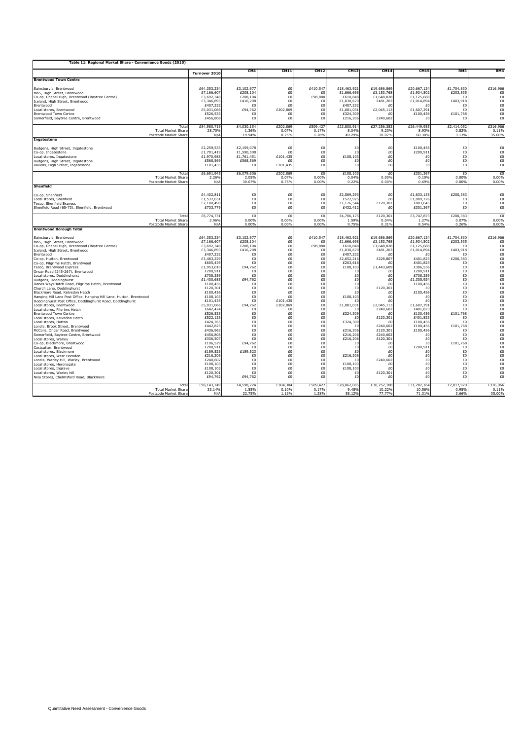| Table 11: Regional Market Share - Convenience Goods (2010)                                                                                                                                                                                                                                                                                                                                                                                                                                                                                                                                                                                                                                                                                                                                                                                                                                                                                                                                                                                                                                                                                                                                   |                                                                                                                                                                                                                                                                                                                                                                                                                                                     |                                                                                                                                                                                                                                                                               |                                                                                                                                                                                                                                  |                                                                                                                                                                                                                                        |                                                                                                                                                                                                                                                                                                                                            |                                                                                                                                                                                                                                                                                                                                               |                                                                                                                                                                                                                                                                                                                                                               |                                                                                                                                                                                                                                                                       |                                                                                                                                                                                                                                                                                                                |
|----------------------------------------------------------------------------------------------------------------------------------------------------------------------------------------------------------------------------------------------------------------------------------------------------------------------------------------------------------------------------------------------------------------------------------------------------------------------------------------------------------------------------------------------------------------------------------------------------------------------------------------------------------------------------------------------------------------------------------------------------------------------------------------------------------------------------------------------------------------------------------------------------------------------------------------------------------------------------------------------------------------------------------------------------------------------------------------------------------------------------------------------------------------------------------------------|-----------------------------------------------------------------------------------------------------------------------------------------------------------------------------------------------------------------------------------------------------------------------------------------------------------------------------------------------------------------------------------------------------------------------------------------------------|-------------------------------------------------------------------------------------------------------------------------------------------------------------------------------------------------------------------------------------------------------------------------------|----------------------------------------------------------------------------------------------------------------------------------------------------------------------------------------------------------------------------------|----------------------------------------------------------------------------------------------------------------------------------------------------------------------------------------------------------------------------------------|--------------------------------------------------------------------------------------------------------------------------------------------------------------------------------------------------------------------------------------------------------------------------------------------------------------------------------------------|-----------------------------------------------------------------------------------------------------------------------------------------------------------------------------------------------------------------------------------------------------------------------------------------------------------------------------------------------|---------------------------------------------------------------------------------------------------------------------------------------------------------------------------------------------------------------------------------------------------------------------------------------------------------------------------------------------------------------|-----------------------------------------------------------------------------------------------------------------------------------------------------------------------------------------------------------------------------------------------------------------------|----------------------------------------------------------------------------------------------------------------------------------------------------------------------------------------------------------------------------------------------------------------------------------------------------------------|
|                                                                                                                                                                                                                                                                                                                                                                                                                                                                                                                                                                                                                                                                                                                                                                                                                                                                                                                                                                                                                                                                                                                                                                                              | Turnover 2010                                                                                                                                                                                                                                                                                                                                                                                                                                       | CM <sub>4</sub>                                                                                                                                                                                                                                                               | <b>CM11</b>                                                                                                                                                                                                                      | <b>CM12</b>                                                                                                                                                                                                                            | CM13                                                                                                                                                                                                                                                                                                                                       | <b>CM14</b>                                                                                                                                                                                                                                                                                                                                   | <b>CM15</b>                                                                                                                                                                                                                                                                                                                                                   | RM3                                                                                                                                                                                                                                                                   | RM4                                                                                                                                                                                                                                                                                                            |
| <b>Brentwood Town Centre</b>                                                                                                                                                                                                                                                                                                                                                                                                                                                                                                                                                                                                                                                                                                                                                                                                                                                                                                                                                                                                                                                                                                                                                                 |                                                                                                                                                                                                                                                                                                                                                                                                                                                     |                                                                                                                                                                                                                                                                               |                                                                                                                                                                                                                                  |                                                                                                                                                                                                                                        |                                                                                                                                                                                                                                                                                                                                            |                                                                                                                                                                                                                                                                                                                                               |                                                                                                                                                                                                                                                                                                                                                               |                                                                                                                                                                                                                                                                       |                                                                                                                                                                                                                                                                                                                |
| Sainsbury's, Brentwood                                                                                                                                                                                                                                                                                                                                                                                                                                                                                                                                                                                                                                                                                                                                                                                                                                                                                                                                                                                                                                                                                                                                                                       | £64,353,234                                                                                                                                                                                                                                                                                                                                                                                                                                         | £3,102,97                                                                                                                                                                                                                                                                     | £0                                                                                                                                                                                                                               | £410,547                                                                                                                                                                                                                               | £18,463,921                                                                                                                                                                                                                                                                                                                                | £19,686,869                                                                                                                                                                                                                                                                                                                                   | £20,667,124                                                                                                                                                                                                                                                                                                                                                   | £1,704,830                                                                                                                                                                                                                                                            | £316,966                                                                                                                                                                                                                                                                                                       |
| M&S, High Street, Brentwood                                                                                                                                                                                                                                                                                                                                                                                                                                                                                                                                                                                                                                                                                                                                                                                                                                                                                                                                                                                                                                                                                                                                                                  | £7,166,607                                                                                                                                                                                                                                                                                                                                                                                                                                          | £208,104                                                                                                                                                                                                                                                                      | £0                                                                                                                                                                                                                               | £                                                                                                                                                                                                                                      | £1,666,698                                                                                                                                                                                                                                                                                                                                 | £3,153,768                                                                                                                                                                                                                                                                                                                                    | £1,934,502                                                                                                                                                                                                                                                                                                                                                    | £203,535                                                                                                                                                                                                                                                              | £C                                                                                                                                                                                                                                                                                                             |
| Co-op, Chapel High, Brentwood (Baytree Centre)                                                                                                                                                                                                                                                                                                                                                                                                                                                                                                                                                                                                                                                                                                                                                                                                                                                                                                                                                                                                                                                                                                                                               | £3,692,348                                                                                                                                                                                                                                                                                                                                                                                                                                          | £208,104                                                                                                                                                                                                                                                                      | £0                                                                                                                                                                                                                               | £98,880                                                                                                                                                                                                                                | £610,848                                                                                                                                                                                                                                                                                                                                   | £1,648,828                                                                                                                                                                                                                                                                                                                                    | £1,125,688                                                                                                                                                                                                                                                                                                                                                    | £                                                                                                                                                                                                                                                                     | £0                                                                                                                                                                                                                                                                                                             |
| Iceland. High Street. Brentwood                                                                                                                                                                                                                                                                                                                                                                                                                                                                                                                                                                                                                                                                                                                                                                                                                                                                                                                                                                                                                                                                                                                                                              | £3,346,893                                                                                                                                                                                                                                                                                                                                                                                                                                          | £416,208                                                                                                                                                                                                                                                                      | £0                                                                                                                                                                                                                               | f(                                                                                                                                                                                                                                     | £1,030,670                                                                                                                                                                                                                                                                                                                                 | £481,203                                                                                                                                                                                                                                                                                                                                      | £1,014,894                                                                                                                                                                                                                                                                                                                                                    | £403.918                                                                                                                                                                                                                                                              | £0                                                                                                                                                                                                                                                                                                             |
| Brentwood                                                                                                                                                                                                                                                                                                                                                                                                                                                                                                                                                                                                                                                                                                                                                                                                                                                                                                                                                                                                                                                                                                                                                                                    | £407,232                                                                                                                                                                                                                                                                                                                                                                                                                                            | £ſ                                                                                                                                                                                                                                                                            | £0                                                                                                                                                                                                                               | £0                                                                                                                                                                                                                                     | £407,232                                                                                                                                                                                                                                                                                                                                   | £                                                                                                                                                                                                                                                                                                                                             | f()                                                                                                                                                                                                                                                                                                                                                           | £0                                                                                                                                                                                                                                                                    | £0                                                                                                                                                                                                                                                                                                             |
| Local stores, Brentwood                                                                                                                                                                                                                                                                                                                                                                                                                                                                                                                                                                                                                                                                                                                                                                                                                                                                                                                                                                                                                                                                                                                                                                      | £5,031,066                                                                                                                                                                                                                                                                                                                                                                                                                                          | £94,762                                                                                                                                                                                                                                                                       | £202,869                                                                                                                                                                                                                         | £0                                                                                                                                                                                                                                     | £1,081,031                                                                                                                                                                                                                                                                                                                                 | £2,045,113                                                                                                                                                                                                                                                                                                                                    | £1,607,291                                                                                                                                                                                                                                                                                                                                                    | £0                                                                                                                                                                                                                                                                    | £0                                                                                                                                                                                                                                                                                                             |
| <b>Brentwood Town Centre</b>                                                                                                                                                                                                                                                                                                                                                                                                                                                                                                                                                                                                                                                                                                                                                                                                                                                                                                                                                                                                                                                                                                                                                                 | £526,533                                                                                                                                                                                                                                                                                                                                                                                                                                            | £0                                                                                                                                                                                                                                                                            | £0                                                                                                                                                                                                                               | £0                                                                                                                                                                                                                                     | £324,309                                                                                                                                                                                                                                                                                                                                   | f(                                                                                                                                                                                                                                                                                                                                            | £100,456                                                                                                                                                                                                                                                                                                                                                      | £101,768                                                                                                                                                                                                                                                              | £0                                                                                                                                                                                                                                                                                                             |
| Somerfield, Baytree Centre, Brentwood                                                                                                                                                                                                                                                                                                                                                                                                                                                                                                                                                                                                                                                                                                                                                                                                                                                                                                                                                                                                                                                                                                                                                        | £456,808                                                                                                                                                                                                                                                                                                                                                                                                                                            | £0                                                                                                                                                                                                                                                                            | £0                                                                                                                                                                                                                               | £Ū                                                                                                                                                                                                                                     | £216,206                                                                                                                                                                                                                                                                                                                                   | £240,602                                                                                                                                                                                                                                                                                                                                      | £0                                                                                                                                                                                                                                                                                                                                                            | f()                                                                                                                                                                                                                                                                   | £0                                                                                                                                                                                                                                                                                                             |
| Tota                                                                                                                                                                                                                                                                                                                                                                                                                                                                                                                                                                                                                                                                                                                                                                                                                                                                                                                                                                                                                                                                                                                                                                                         | £84,980,719                                                                                                                                                                                                                                                                                                                                                                                                                                         | £4,030,154                                                                                                                                                                                                                                                                    | £202,869                                                                                                                                                                                                                         | £509,427                                                                                                                                                                                                                               | £23,800,91                                                                                                                                                                                                                                                                                                                                 | £27,256,383                                                                                                                                                                                                                                                                                                                                   | £26,449,955                                                                                                                                                                                                                                                                                                                                                   | £2,414,052                                                                                                                                                                                                                                                            | £316,966                                                                                                                                                                                                                                                                                                       |
| <b>Total Market Share</b>                                                                                                                                                                                                                                                                                                                                                                                                                                                                                                                                                                                                                                                                                                                                                                                                                                                                                                                                                                                                                                                                                                                                                                    | 28.70%                                                                                                                                                                                                                                                                                                                                                                                                                                              | 1.36%                                                                                                                                                                                                                                                                         | 0.07%                                                                                                                                                                                                                            | 0.17%                                                                                                                                                                                                                                  | 8.04%                                                                                                                                                                                                                                                                                                                                      | 9.20%                                                                                                                                                                                                                                                                                                                                         | 8.93%                                                                                                                                                                                                                                                                                                                                                         | 0.82%                                                                                                                                                                                                                                                                 | 0.11%                                                                                                                                                                                                                                                                                                          |
| Postcode Market Share                                                                                                                                                                                                                                                                                                                                                                                                                                                                                                                                                                                                                                                                                                                                                                                                                                                                                                                                                                                                                                                                                                                                                                        | N/A                                                                                                                                                                                                                                                                                                                                                                                                                                                 | 19.94%                                                                                                                                                                                                                                                                        | 0.75%                                                                                                                                                                                                                            | 1.289                                                                                                                                                                                                                                  | 49.29%                                                                                                                                                                                                                                                                                                                                     | 70.07%                                                                                                                                                                                                                                                                                                                                        | 60.30%                                                                                                                                                                                                                                                                                                                                                        | 3.13%                                                                                                                                                                                                                                                                 | 35.00%                                                                                                                                                                                                                                                                                                         |
| <b>Ingatestone</b>                                                                                                                                                                                                                                                                                                                                                                                                                                                                                                                                                                                                                                                                                                                                                                                                                                                                                                                                                                                                                                                                                                                                                                           |                                                                                                                                                                                                                                                                                                                                                                                                                                                     |                                                                                                                                                                                                                                                                               |                                                                                                                                                                                                                                  |                                                                                                                                                                                                                                        |                                                                                                                                                                                                                                                                                                                                            |                                                                                                                                                                                                                                                                                                                                               |                                                                                                                                                                                                                                                                                                                                                               |                                                                                                                                                                                                                                                                       |                                                                                                                                                                                                                                                                                                                |
| Budgens. High Street. Ingatestone                                                                                                                                                                                                                                                                                                                                                                                                                                                                                                                                                                                                                                                                                                                                                                                                                                                                                                                                                                                                                                                                                                                                                            | £2,259,533                                                                                                                                                                                                                                                                                                                                                                                                                                          | £2,159,078                                                                                                                                                                                                                                                                    | £0                                                                                                                                                                                                                               | £0                                                                                                                                                                                                                                     | £0                                                                                                                                                                                                                                                                                                                                         | £0                                                                                                                                                                                                                                                                                                                                            | £100,456                                                                                                                                                                                                                                                                                                                                                      | £0                                                                                                                                                                                                                                                                    | £0                                                                                                                                                                                                                                                                                                             |
| Co-op. Ingatestone                                                                                                                                                                                                                                                                                                                                                                                                                                                                                                                                                                                                                                                                                                                                                                                                                                                                                                                                                                                                                                                                                                                                                                           | £1,791,419                                                                                                                                                                                                                                                                                                                                                                                                                                          | £1,590,508                                                                                                                                                                                                                                                                    | £0                                                                                                                                                                                                                               | f()                                                                                                                                                                                                                                    | £0                                                                                                                                                                                                                                                                                                                                         | £0                                                                                                                                                                                                                                                                                                                                            | £200,911                                                                                                                                                                                                                                                                                                                                                      | £0                                                                                                                                                                                                                                                                    | £0                                                                                                                                                                                                                                                                                                             |
| Local stores. Ingatestone                                                                                                                                                                                                                                                                                                                                                                                                                                                                                                                                                                                                                                                                                                                                                                                                                                                                                                                                                                                                                                                                                                                                                                    | £1,970,988                                                                                                                                                                                                                                                                                                                                                                                                                                          | £1,761,451                                                                                                                                                                                                                                                                    | £101,435                                                                                                                                                                                                                         | £0                                                                                                                                                                                                                                     | £108,103                                                                                                                                                                                                                                                                                                                                   | £0                                                                                                                                                                                                                                                                                                                                            | f()                                                                                                                                                                                                                                                                                                                                                           | £0                                                                                                                                                                                                                                                                    | £0                                                                                                                                                                                                                                                                                                             |
| Budgens, High Street, Ingatestone                                                                                                                                                                                                                                                                                                                                                                                                                                                                                                                                                                                                                                                                                                                                                                                                                                                                                                                                                                                                                                                                                                                                                            | £568,569                                                                                                                                                                                                                                                                                                                                                                                                                                            | £568,569                                                                                                                                                                                                                                                                      | £                                                                                                                                                                                                                                | £0                                                                                                                                                                                                                                     | £O                                                                                                                                                                                                                                                                                                                                         | £0                                                                                                                                                                                                                                                                                                                                            | £0                                                                                                                                                                                                                                                                                                                                                            | £0                                                                                                                                                                                                                                                                    | £0                                                                                                                                                                                                                                                                                                             |
| Ravens, High Street, Ingatestone                                                                                                                                                                                                                                                                                                                                                                                                                                                                                                                                                                                                                                                                                                                                                                                                                                                                                                                                                                                                                                                                                                                                                             | £101,435                                                                                                                                                                                                                                                                                                                                                                                                                                            | £ſ                                                                                                                                                                                                                                                                            | £101,435                                                                                                                                                                                                                         | £0                                                                                                                                                                                                                                     | £O                                                                                                                                                                                                                                                                                                                                         | £0                                                                                                                                                                                                                                                                                                                                            | £0                                                                                                                                                                                                                                                                                                                                                            | £0                                                                                                                                                                                                                                                                    | £0                                                                                                                                                                                                                                                                                                             |
| Tota                                                                                                                                                                                                                                                                                                                                                                                                                                                                                                                                                                                                                                                                                                                                                                                                                                                                                                                                                                                                                                                                                                                                                                                         | £6,691,945                                                                                                                                                                                                                                                                                                                                                                                                                                          | £6,079,606                                                                                                                                                                                                                                                                    | £202,869                                                                                                                                                                                                                         | £0                                                                                                                                                                                                                                     | £108,103                                                                                                                                                                                                                                                                                                                                   | £0                                                                                                                                                                                                                                                                                                                                            | £301,367                                                                                                                                                                                                                                                                                                                                                      | £0                                                                                                                                                                                                                                                                    | £0                                                                                                                                                                                                                                                                                                             |
| <b>Total Market Share</b>                                                                                                                                                                                                                                                                                                                                                                                                                                                                                                                                                                                                                                                                                                                                                                                                                                                                                                                                                                                                                                                                                                                                                                    | 2.26%                                                                                                                                                                                                                                                                                                                                                                                                                                               | 2.05%                                                                                                                                                                                                                                                                         | 0.07%                                                                                                                                                                                                                            | 0.00%                                                                                                                                                                                                                                  | 0.04%                                                                                                                                                                                                                                                                                                                                      | 0.00%                                                                                                                                                                                                                                                                                                                                         | 0.10%                                                                                                                                                                                                                                                                                                                                                         | 0.00%                                                                                                                                                                                                                                                                 | 0.00%                                                                                                                                                                                                                                                                                                          |
| Postcode Market Share                                                                                                                                                                                                                                                                                                                                                                                                                                                                                                                                                                                                                                                                                                                                                                                                                                                                                                                                                                                                                                                                                                                                                                        | N/A                                                                                                                                                                                                                                                                                                                                                                                                                                                 | 30.07%                                                                                                                                                                                                                                                                        | 0.75%                                                                                                                                                                                                                            | 0.00%                                                                                                                                                                                                                                  | 0.229                                                                                                                                                                                                                                                                                                                                      | 0.00%                                                                                                                                                                                                                                                                                                                                         | 0.69%                                                                                                                                                                                                                                                                                                                                                         | 0.00%                                                                                                                                                                                                                                                                 | 0.00%                                                                                                                                                                                                                                                                                                          |
| Shenfield                                                                                                                                                                                                                                                                                                                                                                                                                                                                                                                                                                                                                                                                                                                                                                                                                                                                                                                                                                                                                                                                                                                                                                                    |                                                                                                                                                                                                                                                                                                                                                                                                                                                     |                                                                                                                                                                                                                                                                               |                                                                                                                                                                                                                                  |                                                                                                                                                                                                                                        |                                                                                                                                                                                                                                                                                                                                            |                                                                                                                                                                                                                                                                                                                                               |                                                                                                                                                                                                                                                                                                                                                               |                                                                                                                                                                                                                                                                       |                                                                                                                                                                                                                                                                                                                |
| Co-op, Shenfield                                                                                                                                                                                                                                                                                                                                                                                                                                                                                                                                                                                                                                                                                                                                                                                                                                                                                                                                                                                                                                                                                                                                                                             | £4,402,811                                                                                                                                                                                                                                                                                                                                                                                                                                          | f(                                                                                                                                                                                                                                                                            | £0                                                                                                                                                                                                                               | f()                                                                                                                                                                                                                                    | £2,569,293                                                                                                                                                                                                                                                                                                                                 | £0                                                                                                                                                                                                                                                                                                                                            | £1,633,135                                                                                                                                                                                                                                                                                                                                                    | £200,383                                                                                                                                                                                                                                                              | £C                                                                                                                                                                                                                                                                                                             |
| Local stores. Shenfield                                                                                                                                                                                                                                                                                                                                                                                                                                                                                                                                                                                                                                                                                                                                                                                                                                                                                                                                                                                                                                                                                                                                                                      | £1,537,651                                                                                                                                                                                                                                                                                                                                                                                                                                          | £0                                                                                                                                                                                                                                                                            | £0                                                                                                                                                                                                                               | £0                                                                                                                                                                                                                                     | £527,92                                                                                                                                                                                                                                                                                                                                    | £0                                                                                                                                                                                                                                                                                                                                            | £1,009,726                                                                                                                                                                                                                                                                                                                                                    | £0                                                                                                                                                                                                                                                                    | £0                                                                                                                                                                                                                                                                                                             |
| <b>Fesco, Shenfield Express</b>                                                                                                                                                                                                                                                                                                                                                                                                                                                                                                                                                                                                                                                                                                                                                                                                                                                                                                                                                                                                                                                                                                                                                              | £2,100,490                                                                                                                                                                                                                                                                                                                                                                                                                                          | £0                                                                                                                                                                                                                                                                            | £0                                                                                                                                                                                                                               | £O                                                                                                                                                                                                                                     | £1,176,54                                                                                                                                                                                                                                                                                                                                  | £120,301                                                                                                                                                                                                                                                                                                                                      | £803,645                                                                                                                                                                                                                                                                                                                                                      | £0                                                                                                                                                                                                                                                                    | £0                                                                                                                                                                                                                                                                                                             |
| Shenfield Road (65-73). Shenfield. Brentwood                                                                                                                                                                                                                                                                                                                                                                                                                                                                                                                                                                                                                                                                                                                                                                                                                                                                                                                                                                                                                                                                                                                                                 | £733,779                                                                                                                                                                                                                                                                                                                                                                                                                                            | £0                                                                                                                                                                                                                                                                            | £0                                                                                                                                                                                                                               | £0                                                                                                                                                                                                                                     | £432,412                                                                                                                                                                                                                                                                                                                                   | £O                                                                                                                                                                                                                                                                                                                                            | £301,367                                                                                                                                                                                                                                                                                                                                                      | £O                                                                                                                                                                                                                                                                    | £0                                                                                                                                                                                                                                                                                                             |
| Tota                                                                                                                                                                                                                                                                                                                                                                                                                                                                                                                                                                                                                                                                                                                                                                                                                                                                                                                                                                                                                                                                                                                                                                                         | £8,774,731                                                                                                                                                                                                                                                                                                                                                                                                                                          | £ſ                                                                                                                                                                                                                                                                            | £0                                                                                                                                                                                                                               | £ſ                                                                                                                                                                                                                                     | £4,706,17                                                                                                                                                                                                                                                                                                                                  | £120,30                                                                                                                                                                                                                                                                                                                                       | £3,747,873                                                                                                                                                                                                                                                                                                                                                    | £200,383                                                                                                                                                                                                                                                              | £0                                                                                                                                                                                                                                                                                                             |
| <b>Total Market Share</b>                                                                                                                                                                                                                                                                                                                                                                                                                                                                                                                                                                                                                                                                                                                                                                                                                                                                                                                                                                                                                                                                                                                                                                    | 2.96%                                                                                                                                                                                                                                                                                                                                                                                                                                               | 0.00%                                                                                                                                                                                                                                                                         | 0.00%                                                                                                                                                                                                                            | 0.00%                                                                                                                                                                                                                                  | 1.59%                                                                                                                                                                                                                                                                                                                                      | 0.04%                                                                                                                                                                                                                                                                                                                                         | 1.27%                                                                                                                                                                                                                                                                                                                                                         | 0.07%                                                                                                                                                                                                                                                                 | 0.00%                                                                                                                                                                                                                                                                                                          |
| Postcode Market Share                                                                                                                                                                                                                                                                                                                                                                                                                                                                                                                                                                                                                                                                                                                                                                                                                                                                                                                                                                                                                                                                                                                                                                        | N/A                                                                                                                                                                                                                                                                                                                                                                                                                                                 | 0.00%                                                                                                                                                                                                                                                                         | 0.00%                                                                                                                                                                                                                            | 0.00%                                                                                                                                                                                                                                  | 9.75%                                                                                                                                                                                                                                                                                                                                      | 0.31%                                                                                                                                                                                                                                                                                                                                         | 8.54%                                                                                                                                                                                                                                                                                                                                                         | 0.26%                                                                                                                                                                                                                                                                 | 0.00%                                                                                                                                                                                                                                                                                                          |
| <b>Brentwood Borough Total</b>                                                                                                                                                                                                                                                                                                                                                                                                                                                                                                                                                                                                                                                                                                                                                                                                                                                                                                                                                                                                                                                                                                                                                               |                                                                                                                                                                                                                                                                                                                                                                                                                                                     |                                                                                                                                                                                                                                                                               |                                                                                                                                                                                                                                  |                                                                                                                                                                                                                                        |                                                                                                                                                                                                                                                                                                                                            |                                                                                                                                                                                                                                                                                                                                               |                                                                                                                                                                                                                                                                                                                                                               |                                                                                                                                                                                                                                                                       |                                                                                                                                                                                                                                                                                                                |
| Sainsbury's, Brentwood<br>M&S, High Street, Brentwood<br>Co-op, Chapel High, Brentwood (Baytree Centre)<br>Iceland. High Street. Brentwood<br>Brentwood<br>Co-op, Hutton, Brentwood<br>Co-op, Pilgrims Hatch, Brentwood<br><b>Fesco, Brentwood Express</b><br>Ongar Road (245-267). Brentwood<br>Local stores, Doddinghurst<br>Budgens, Doddinghurst<br>Danes Way/Hatch Road, Pilgrims Hatch, Brentwood<br>Church Lane, Doddinghurst<br>Blackmore Road, Kelvedon Hatch<br>langing Hill Lane Post Office. Hanging Hill Lane. Hutton. Brentwood<br>Doddinahurst Post Office. Doddinahurst Road. Doddinahurst<br>Local stores, Brentwood<br>Local stores, Pilgrims Hatch<br>Brentwood Town Centre<br>Local stores, Kelvedon Hatch<br>Local stores, Hutton<br>Londis, Brook Street, Brentwood<br>McColls, Ongar Road, Brentwood<br>Somerfield. Bavtree Centre. Brentwood<br>Local stores, Warlev<br>Co-op, Blackmore, Brentwood<br>Costcutter, Brentwood<br>Local stores, Blackmore<br>Local stores, West Horndon<br>Londis. Warlev Hill. Warlev. Brentwood<br>Local stores. Heronsgate<br>Local stores, Ingrave<br>Local stores, Warley hill<br>Nisa Stores. Chelmsford Road. Blackmore<br>Tota | £64.353.234<br>£7,166,607<br>£3,692,348<br>£3,346,893<br>£407,232<br>£3,483,229<br>£605,439<br>£1,953,010<br>£200,911<br>£708,359<br>£1,400,685<br>£100,456<br>£120,301<br>£100,456<br>£108,103<br>£101,435<br>£5,031,066<br>£642,424<br>£526,533<br>£522,123<br>£424,765<br>£442,825<br>£436,963<br>£456,808<br>£336,507<br>£196,529<br>£200,911<br>£189,523<br>£216,206<br>£240,602<br>£108,103<br>£108,103<br>£120,301<br>£94,762<br>£98,143,749 | £3,102.977<br>£208,104<br>£208,104<br>£416,208<br>£ſ<br>f(<br>£ſ<br>£94,762<br>£0<br>£<br>£94,762<br>£ſ<br>£0<br>£0<br>£0<br>£0<br>£94,762<br>£0<br>£0<br>£0<br>£0<br>£0<br>f(<br>£0<br>f(<br>£94,762<br>£<br>£189,523<br>£ſ<br>£0<br>£0<br>£0<br>£0<br>£94,762<br>£4,598,724 | £0<br>£0<br>£0<br>£0<br>£0<br>£0<br>£0<br>£0<br>£0<br>£0<br>£0<br>£0<br>£0<br>£0<br>£0<br>£101,435<br>£202,869<br>£0<br>£0<br>£0<br>£0<br>£0<br>£0<br>£0<br>£0<br>£0<br>£0<br>£0<br>£0<br>£0<br>£0<br>£0<br>£0<br>£0<br>£304,304 | £410,547<br>£<br>£98,880<br>f(<br>£0<br>£0<br>£0<br>£0<br>£0<br>£O<br>£0<br>£0<br>£0<br>£0<br>£0<br>£0<br>£0<br>£0<br>£0<br>£0<br>£0<br>£0<br>£0<br>£0<br>£0<br>£0<br>$\pounds 0$<br>£0<br>£0<br>£0<br>£0<br>£0<br>£0<br>£O<br>£509,42 | £18,463,921<br>£1,666,698<br>£610,848<br>£1,030,670<br>£407,232<br>£2,652,216<br>£203,616<br>£108,103<br>£O<br>£O<br>£0<br>£0<br>£0<br>£0<br>£108,103<br>£<br>£1,081,031<br>£O<br>£324,309<br>f(<br>£324.309<br>f<br>£216,206<br>£216,206<br>£216,206<br>£<br>£0<br>f(<br>£216,206<br>f<br>£108,103<br>£108,103<br>£0<br>£0<br>£28,062,085 | £19,686,869<br>£3,153,768<br>£1,648,828<br>£481,203<br>f(<br>£228,807<br>£0<br>£1,443,609<br>£0<br>£0<br>£0<br>$\epsilon$<br>£120,301<br>£0<br>£0<br>f()<br>£2,045,113<br>£240,602<br>f(<br>£120,301<br>£0<br>£240,602<br>£120,301<br>£240,602<br>£120,301<br>£C<br>£O<br>£0<br>£C<br>£240,602<br>f()<br>f()<br>£120,301<br>£O<br>£30,252,108 | £20,667,124<br>£1,934,502<br>£1,125,688<br>£1,014,894<br>£0<br>£401,823<br>£401,823<br>£306,536<br>£200,911<br>£708,359<br>£1,305,924<br>£100,456<br>f()<br>£100,456<br>£0<br>f()<br>£1,607,291<br>£401,823<br>£100,456<br>£401,823<br>£100.456<br>£100,456<br>£100,456<br>£0<br>£0<br>£0<br>£200,911<br>£<br>£0<br>£0<br>£0<br>£0<br>£0<br>£0<br>£31,282,164 | £1,704,830<br>£203,535<br>£<br>£403.918<br>£0<br>£200,383<br>£0<br>f()<br>£0<br>£0<br>£0<br>£0<br>£0<br>£0<br>£0<br>£0<br>£0<br>£0<br>£101,768<br>f()<br>f()<br>£101,768<br>f()<br>£0<br>£0<br>£101,768<br>£O<br>£0<br>£٥<br>£0<br>£0<br>£0<br>£0<br>£0<br>£2,817,970 | £316,966<br>£0<br>£0<br>£0<br>£0<br>£0<br>£O<br>£0<br>£0<br>£0<br>£0<br>$_{\scriptstyle \pm 0}^{\scriptscriptstyle \pm 0}$<br>£0<br>£0<br>£0<br>£0<br>£o<br>£O<br>£0<br>£0<br>£0<br>£0<br>£0<br>£0<br>£0<br>£0<br>$_{\scriptstyle \pm 0}^{\scriptscriptstyle \pm 0}$<br>£0<br>£0<br>£0<br>£0<br>£0<br>£316,966 |
| <b>Total Market Share</b>                                                                                                                                                                                                                                                                                                                                                                                                                                                                                                                                                                                                                                                                                                                                                                                                                                                                                                                                                                                                                                                                                                                                                                    | 33.14%                                                                                                                                                                                                                                                                                                                                                                                                                                              | 1.55%                                                                                                                                                                                                                                                                         | 0.10%                                                                                                                                                                                                                            | 0.17%                                                                                                                                                                                                                                  | 9.48%                                                                                                                                                                                                                                                                                                                                      | 10.22%                                                                                                                                                                                                                                                                                                                                        | 10.56%                                                                                                                                                                                                                                                                                                                                                        | 0.95%                                                                                                                                                                                                                                                                 | 0.11%                                                                                                                                                                                                                                                                                                          |
| Postcode Market Share                                                                                                                                                                                                                                                                                                                                                                                                                                                                                                                                                                                                                                                                                                                                                                                                                                                                                                                                                                                                                                                                                                                                                                        | N/A                                                                                                                                                                                                                                                                                                                                                                                                                                                 | 22.75%                                                                                                                                                                                                                                                                        | 1.13%                                                                                                                                                                                                                            | 1.28%                                                                                                                                                                                                                                  | 58.12%                                                                                                                                                                                                                                                                                                                                     | 77.77%                                                                                                                                                                                                                                                                                                                                        | 71.31%                                                                                                                                                                                                                                                                                                                                                        | 3.66%                                                                                                                                                                                                                                                                 | 35.00%                                                                                                                                                                                                                                                                                                         |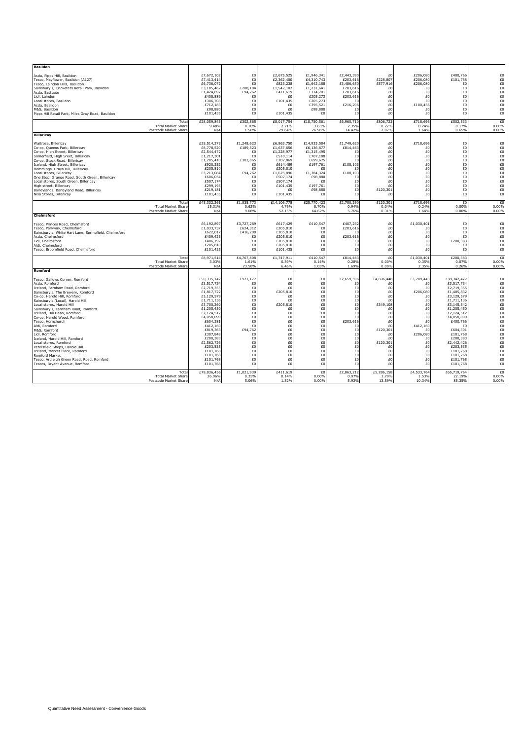| <b>Basildon</b><br>Asda, Pipps Hill, Basildon<br>Tesco, Mavflower, Basildon (A127)<br>Tesco, Laindon Hills, Basildon<br>Sainsbury's, Cricketers Retail Park, Basildon<br>Asda. Eastgate<br>Lidl, Laindon<br>Local stores. Basildon<br>Asda, Basildon<br>M&S, Basildon<br>Pipps Hill Retail Park. Miles Grav Road. Basildon                                                                                                                                                                                                                                                                                                                                |                                                            | £7,672,102<br>£7,413,414<br>£6,736,072<br>£3,185,462<br>£1,424,697<br>£408,889<br>£306,708<br>£712,183<br>£98,880<br>£101,435                                                                                                                                                   | £0<br>£0<br>£0<br>£208,104<br>£94,762<br>£0<br>£0<br>£0<br>£0<br>£0                                                                  | £2,675,525<br>£2,362,400<br>£823,238<br>£1,542,102<br>£411,619<br>£0<br>£101,435<br>£0<br>£0<br>£101,435                                                   | £1,946,341<br>£4,310,743<br>£1,642,188<br>£1,231,641<br>£714,701<br>£205,273<br>£205,273<br>£395,521<br>£98,880<br>£O                       | £2,443,390<br>£203,616<br>£3,486,650<br>£203,616<br>£203,616<br>£203,616<br>£0<br>£216,206<br>£0<br>£0                                   | £0<br>£228,807<br>£577,916<br>£0<br>£0<br>£0<br>£0<br>£0<br>£0<br>£0                                                                                 | £206,080<br>£206,080<br>£206,080<br>£0<br>£0<br>£0<br>£0<br>£100,456<br>£0<br>£0                                                                     | £400,766<br>£101,768<br>£0<br>£0<br>£0<br>£0<br>£0<br>£0<br>£0<br>£0                                                                                                                                                                                                      | £0<br>£0<br>£0<br>£Ó<br>£0<br>£0<br>£0<br>£0<br>£0<br>£0                                                                                                 |
|-----------------------------------------------------------------------------------------------------------------------------------------------------------------------------------------------------------------------------------------------------------------------------------------------------------------------------------------------------------------------------------------------------------------------------------------------------------------------------------------------------------------------------------------------------------------------------------------------------------------------------------------------------------|------------------------------------------------------------|---------------------------------------------------------------------------------------------------------------------------------------------------------------------------------------------------------------------------------------------------------------------------------|--------------------------------------------------------------------------------------------------------------------------------------|------------------------------------------------------------------------------------------------------------------------------------------------------------|---------------------------------------------------------------------------------------------------------------------------------------------|------------------------------------------------------------------------------------------------------------------------------------------|------------------------------------------------------------------------------------------------------------------------------------------------------|------------------------------------------------------------------------------------------------------------------------------------------------------|---------------------------------------------------------------------------------------------------------------------------------------------------------------------------------------------------------------------------------------------------------------------------|----------------------------------------------------------------------------------------------------------------------------------------------------------|
|                                                                                                                                                                                                                                                                                                                                                                                                                                                                                                                                                                                                                                                           | Tota<br><b>Total Market Share</b><br>Postcode Market Share | £28,059,843<br>9.48%<br>N/A                                                                                                                                                                                                                                                     | £302.865<br>0.10%<br>1.50%                                                                                                           | £8,017,754<br>2.71%<br>29.64%                                                                                                                              | £10,750,561<br>3.63%<br>26.96%                                                                                                              | £6,960,710<br>2.35%<br>14.42%                                                                                                            | £806,723<br>0.27%<br>2.07%                                                                                                                           | £718,696<br>0.24%<br>1.64%                                                                                                                           | £502.533<br>0.17%<br>0.65%                                                                                                                                                                                                                                                | £0<br>0.00%<br>0.00%                                                                                                                                     |
| <b>Billaricay</b><br>Waitrose. Billericav<br>Co-op. Oueens Park. Billericav<br>Co-op, High Street, Billericay<br>Somerfield, High Sreet, Billericay<br>Co-op, Stock Road, Billericay<br>Iceland. High Street. Billericav<br>Hemmings, Crays Hill, Billericav<br>Local stores, Billericav<br>One Stop, Grange Road, South Green, Billericay<br>Local stores, South Green, Billericay<br>High street. Billericav<br>Barlevlands, Barlevland Road, Billericav<br>Nisa Stores. Billericav                                                                                                                                                                     |                                                            | £25,514,273<br>£8,778,520<br>£2,544,472<br>£1,217,301<br>£1,205,410<br>£920,352<br>£205,810<br>£3,213,084<br>£606,054<br>£507,174<br>£299,195<br>£219,181<br>£101,435                                                                                                           | £1,248,623<br>£189,523<br>£ſ<br>£302,865<br>£0<br>£ſ<br>£94,762<br>£0<br>£0<br>£0<br>£0<br>£0                                        | £6,863,750<br>£1,637,656<br>£1,228,977<br>£510,114<br>£202,869<br>£614,489<br>£205,810<br>£1,625,896<br>£507,174<br>£507,174<br>£101,435<br>£0<br>£101,435 | £14,933,584<br>£6,136,87<br>£1,315,495<br>£707,188<br>£699,675<br>£197,761<br>f(<br>£1,384,324<br>£98,880<br>f<br>£197.761<br>£98,880<br>£0 | £1,749,620<br>£814,463<br>£O<br>£0<br>£0<br>£108,103<br>£<br>£108,103<br>£0<br>£0<br>£0<br>£0<br>£0                                      | £0<br>£0<br>£0<br>£0<br>£Ó<br>£0<br>£0<br>£0<br>£0<br>£0<br>£0<br>£120,301<br>£0                                                                     | £718,696<br>£0<br>£0<br>£0<br>£0<br>£0<br>£0<br>£0<br>£0<br>£0<br>£0<br>£0<br>£0                                                                     | £0<br>£0<br>£0<br>£0<br>£0<br>£0<br>£0<br>£0<br>£0<br>£0<br>£0<br>£0<br>£0                                                                                                                                                                                                | £0<br>£0<br>£0<br>£O<br>£Ó<br>£0<br>£0<br>£0<br>£0<br>£0<br>£Ó<br>£0<br>£0                                                                               |
|                                                                                                                                                                                                                                                                                                                                                                                                                                                                                                                                                                                                                                                           | Tota<br><b>Total Market Share</b><br>Postcode Market Share | £45,332,261<br>15.31%<br>N/A                                                                                                                                                                                                                                                    | £1,835,773<br>0.62%<br>9.08%                                                                                                         | £14,106,778<br>4.76%<br>52.15%                                                                                                                             | £25,770,42<br>8.70%<br>64.62%                                                                                                               | £2,780,290<br>0.94%<br>5.76%                                                                                                             | £120,301<br>0.04%<br>0.31%                                                                                                                           | £718,696<br>0.24%<br>1.64%                                                                                                                           | £0<br>0.00%<br>0.00%                                                                                                                                                                                                                                                      | £0<br>0.00%<br>0.00%                                                                                                                                     |
| Chelmsford<br>Tesco, Princes Road, Chelmsford<br>Tesco, Parkway, Chelmsford<br>Sainsbury's, White Hart Lane, Springfield, Chelmsford<br>Asda. Chelmsford<br>Lidl. Chelmsford<br>Aldi, Chelmsford<br>Tesco, Broomfield Road, Chelmsford                                                                                                                                                                                                                                                                                                                                                                                                                    |                                                            | £6,192,897<br>£1,033,737<br>£622,017<br>£409,425<br>£406,192<br>£205,810<br>£101,435                                                                                                                                                                                            | £3,727,289<br>£624,312<br>£416,208<br>£0<br>£0<br>£0<br>£0                                                                           | £617,429<br>£205,810<br>£205,810<br>£205,810<br>£205,810<br>£205,810<br>£101,435                                                                           | £410,547<br>£0<br>£0<br>£0<br>£0<br>£0<br>£0                                                                                                | £407,232<br>£203,616<br>£ſ<br>£203,616<br>£0<br>£0<br>£0                                                                                 | £0<br>£0<br>£0<br>£0<br>£0<br>£0<br>£0                                                                                                               | £1,030,401<br>£٥<br>£0<br>£0<br>£0<br>£0<br>£0                                                                                                       | £0<br>£0<br>£0<br>£0<br>£200,383<br>£0<br>£0                                                                                                                                                                                                                              | £0<br>$E0$<br>$E0$<br>£Ó<br>£0<br>£0<br>£0                                                                                                               |
|                                                                                                                                                                                                                                                                                                                                                                                                                                                                                                                                                                                                                                                           | Tota<br><b>Total Market Share</b><br>Postcode Market Share | £8,971,514<br>3.03%<br>N/A                                                                                                                                                                                                                                                      | £4,767,808<br>1.61%<br>23.58%                                                                                                        | £1,747,911<br>0.59%<br>6.46%                                                                                                                               | £410,547<br>0.14%<br>1.03%                                                                                                                  | £814,463<br>0.28%<br>1.69%                                                                                                               | £0<br>0.00%<br>0.00%                                                                                                                                 | £1,030,401<br>0.35%<br>2.35%                                                                                                                         | £200,383<br>0.07%<br>0.26%                                                                                                                                                                                                                                                | £0<br>0.00%<br>0.00%                                                                                                                                     |
| <b>Romford</b><br>Tesco, Gallows Corner, Romford<br>Asda. Romford<br>Iceland. Farnham Road. Romford<br>Sainsburv's. The Brewerv. Romford<br>Co-op, Harold Hill, Romford<br>Sainsbury's (Local), Harold Hill<br>Local stores, Harold Hill<br>Sainsburv's. Farnham Road. Romford<br>Iceland. Hill Dean. Romford<br>Co-op, Harold Wood, Romford<br>Tesco, Hornchurch<br>Aldi, Romford<br>M&S. Romford<br>Lidl. Romford<br>Iceland, Harold Hill, Romford<br>Local stores, Romford<br>Petersfield Shops, Harold Hill<br>Iceland, Market Place, Romford<br><b>Romford Market</b><br>Tesco, Ardleigh Green Road, Road, Romford<br>Tescos, Bryant Avenue, Romford |                                                            | £50,335,142<br>£3,517,734<br>£2,719,355<br>£1,817,722<br>£3,129,579<br>£1,711,136<br>£3,700,260<br>£1,205,450<br>£2,124,512<br>£4,058,099<br>£604,381<br>£412,160<br>£819,363<br>£307,848<br>£200,383<br>£2,562,726<br>£203,535<br>£101,768<br>£101,768<br>£101,768<br>£101,768 | £927,17<br>£O<br>£0<br>£0<br>£0<br>£0<br>£0<br>£0<br>£0<br>£0<br>£0<br>£0<br>£94,762<br>£0<br>£0<br>£0<br>£0<br>£0<br>£0<br>£0<br>£0 | £0<br>£0<br>£0<br>£205.810<br>£0<br>£0<br>£205,810<br>£0<br>£0<br>£0<br>£0<br>£0<br>£0<br>£0<br>£0<br>£0<br>£0<br>£0<br>£0<br>£0<br>£0                     | £0<br>£0<br>£0<br>£0<br>£0<br>£0<br>£0<br>£0<br>£0<br>£0<br>£0<br>£0<br>£0<br>£0<br>£0<br>£0<br>£0<br>£0<br>£0<br>£0<br>£0                  | £2,659,596<br>£O<br>£0<br>£0<br>£0<br>£0<br>£0<br>£0<br>£0<br>£0<br>£203,616<br>£0<br>£0<br>£0<br>£0<br>£0<br>£0<br>£0<br>£0<br>£0<br>£0 | £4,696,448<br>£0<br>£0<br>£0<br>£0<br>£0<br>£349,108<br>£0<br>£0<br>£0<br>£0<br>£0<br>£120,301<br>£0<br>£0<br>£120,301<br>£0<br>£0<br>£0<br>£0<br>£0 | £3,709,443<br>£0<br>£0<br>£206.080<br>£0<br>£0<br>£0<br>£0<br>£0<br>£0<br>£0<br>£412,160<br>£0<br>£206,080<br>£0<br>£0<br>£0<br>£0<br>£0<br>£0<br>£0 | £38,342,477<br>£3,517,734<br>£2,719,355<br>£1,405,832<br>£3,129,579<br>£1,711,136<br>£3,145,342<br>£1,205,450<br>£2,124,512<br>£4,058,099<br>£400,766<br>£٥<br>£604,301<br>£101,768<br>£200,383<br>£2,442,426<br>£203,535<br>£101,768<br>£101,768<br>£101,768<br>£101,768 | £0<br>£0<br>£0<br>$\overline{60}$<br>$\overline{60}$<br>$E0$<br>£0<br>£0<br>£0<br>$^{E0}_{E0}$<br>£0<br>£0<br>£0<br>$^{E0}_{E0}$<br>£0<br>£0<br>£0<br>£0 |
|                                                                                                                                                                                                                                                                                                                                                                                                                                                                                                                                                                                                                                                           | Tota<br><b>Total Market Share</b><br>Postcode Market Share | £79,836,456<br>26.96%<br>N/A                                                                                                                                                                                                                                                    | £1,021,939<br>0.35%<br>5.06%                                                                                                         | £411,619<br>0.14%<br>1.52%                                                                                                                                 | £0<br>0.00%<br>0.00%                                                                                                                        | £2,863,212<br>0.97%<br>5.93%                                                                                                             | £5,286,158<br>1.79%<br>13.59%                                                                                                                        | £4,533,764<br>1.53%<br>10.34%                                                                                                                        | £65,719,764<br>22.19%<br>85.35%                                                                                                                                                                                                                                           | £0<br>0.00%<br>0.00%                                                                                                                                     |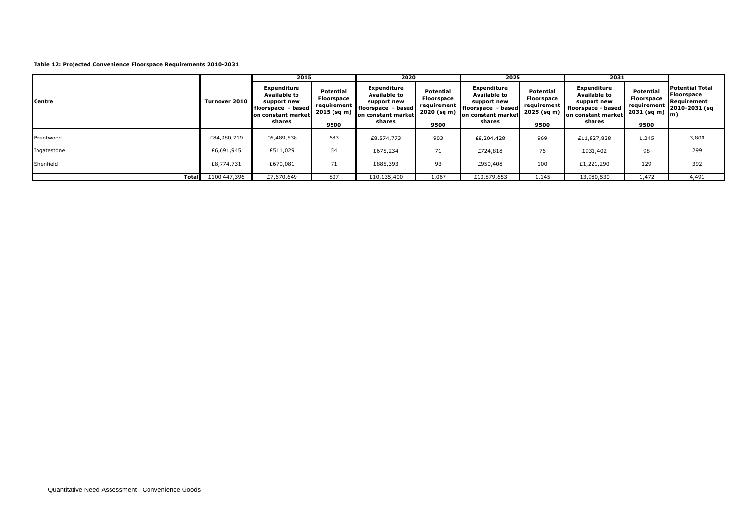#### **Table 12: Projected Convenience Floorspace Requirements 2010-2031**

|             |                             | 2015                                                                                                             |                                                                      | 2020                                                                                                             |                                                                                 | 2025                                                                                                           |                                                               | 2031                                                                                                           |                                                               |                                                                                              |
|-------------|-----------------------------|------------------------------------------------------------------------------------------------------------------|----------------------------------------------------------------------|------------------------------------------------------------------------------------------------------------------|---------------------------------------------------------------------------------|----------------------------------------------------------------------------------------------------------------|---------------------------------------------------------------|----------------------------------------------------------------------------------------------------------------|---------------------------------------------------------------|----------------------------------------------------------------------------------------------|
| Centre      | Turnover 2010               | <b>Expenditure</b><br><b>Available to</b><br>support new<br>I floorspace - based<br>on constant market<br>shares | Potential<br><b>Floorspace</b><br>requirement<br>2015 (sq m)<br>9500 | <b>Expenditure</b><br><b>Available to</b><br>support new<br>floorspace - based  <br>on constant market<br>shares | Potential<br>Floorspace<br>requirement<br>$-2020$ (sq m) $\blacksquare$<br>9500 | <b>Expenditure</b><br><b>Available to</b><br>support new<br>floorspace - based<br>on constant market<br>shares | Potential<br>Floorspace<br>requirement<br>2025 (sq m)<br>9500 | <b>Expenditure</b><br><b>Available to</b><br>support new<br>floorspace - based<br>on constant market<br>shares | Potential<br>Floorspace<br>requirement<br>2031 (sq m)<br>9500 | <b>Potential Total</b><br><b>Floorspace</b><br>Requirement<br>2010-2031 (sq<br>$\mathsf{Im}$ |
| Brentwood   | £84,980,719                 | £6,489,538                                                                                                       | 683                                                                  | £8,574,773                                                                                                       | 903                                                                             | £9,204,428                                                                                                     | 969                                                           | £11,827,838                                                                                                    | 1,245                                                         | 3,800                                                                                        |
| Ingatestone | £6,691,945                  | £511,029                                                                                                         | 54                                                                   | £675,234                                                                                                         | 71                                                                              | £724,818                                                                                                       | 76                                                            | £931,402                                                                                                       | 98                                                            | 299                                                                                          |
| Shenfield   | £8,774,731                  | £670,081                                                                                                         | 71                                                                   | £885,393                                                                                                         | 93                                                                              | £950,408                                                                                                       | 100                                                           | £1,221,290                                                                                                     | 129                                                           | 392                                                                                          |
|             | <b>Total</b> $£100,447,396$ | £7,670,649                                                                                                       | 807                                                                  | £10,135,400                                                                                                      | 1.067                                                                           | £10,879,653                                                                                                    | 1,145                                                         | 13,980,530                                                                                                     | 1.472                                                         | 4,491                                                                                        |